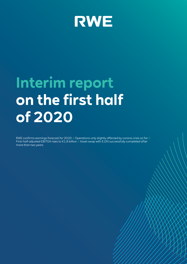

# **Interim report on the first half of 2020**

RWE confirms earnings forecast for 2020 // Operations only slightly affected by corona crisis so far // First-half adjusted EBITDA rises to  $\epsilon$ 1.8 billion // Asset swap with E.ON successfully completed after more than two years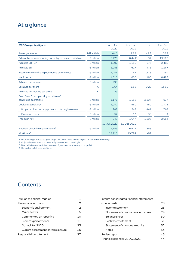# At a glance

| <b>RWE Group - key figures</b>                                   |                    | Jan - Jun<br>2020 | $Jan - Jun$<br>2019 | $+/-$  | $Jan - Dec$<br>2019 |
|------------------------------------------------------------------|--------------------|-------------------|---------------------|--------|---------------------|
| Power generation                                                 | billion kWh        | 64.5              | 73.7                | $-9.2$ | 153.2               |
| External revenue (excluding natural gas tax/electricity tax)     | $\epsilon$ million | 6,475             | 6,441 <sup>1</sup>  | 34     | 13,125              |
| <b>Adjusted EBITDA</b>                                           | $\epsilon$ million | 1,807             | 1,130               | 677    | 2,489               |
| <b>Adjusted EBIT</b>                                             | $\epsilon$ million | 1,088             | 617                 | 471    | 1,267               |
| Income from continuing operations before taxes                   | $\epsilon$ million | 1,446             | $-67$               | 1,513  | $-752$              |
| Net income                                                       | $\epsilon$ million | 1,010             | 830                 | 180    | 8,498               |
| Adjusted net income                                              | $\epsilon$ million | 795               |                     |        |                     |
| Earnings per share                                               | €                  | 1.64              | 1.35                | 0.29   | 13.82               |
| Adjusted net income per share                                    | €                  | 1.29              |                     |        |                     |
| Cash flows from operating activities of<br>continuing operations | $\epsilon$ million | 1,171             | $-1,136$            | 2,307  | $-977$              |
| Capital expenditure <sup>2</sup>                                 | $\epsilon$ million | 1,040             | 560                 | 480    | 1,771               |
| Property, plant and equipment and intangible assets              | $\epsilon$ million | 988               | 547                 | 441    | 1,767               |
| <b>Financial assets</b>                                          | $\epsilon$ million | 52                | 13                  | 39     | 4                   |
| Free cash flow                                                   | $\epsilon$ million | 248               | $-1.647$            | 1.895  | $-2,053$            |
|                                                                  |                    | 30 Jun 2020       | 31 Dec 2019         |        |                     |
| Net debt of continuing operations <sup>3</sup>                   | $\epsilon$ million | 7,785             | 6,927               | 858    |                     |
| Workforce <sup>4</sup>                                           |                    | 19,710            | 19.792              | $-82$  |                     |

1 Prior-year figures restated; see page 116 of the 2019 Annual Report for related commentary.

2 Only cash investments; prior-year figures restated accordingly.

3 New definition and restated prior-year figure; see commentary on page 20.

4 Converted to full-time positions.

# **Contents**

| RWE on the capital market           |    |
|-------------------------------------|----|
| Review of operations                | 2  |
| Economic environment                | 2  |
| Major events                        | 5  |
| Commentary on reporting             | 10 |
| <b>Business performance</b>         | 11 |
| Outlook for 2020                    | 23 |
| Current assessment of risk exposure | 25 |
| Responsibility statement            |    |

| Interim consolidated financial statements |    |
|-------------------------------------------|----|
| (condensed)                               | 28 |
| Income statement                          | 28 |
| Statement of comprehensive income         | 29 |
| Balance sheet                             | 30 |
| Cash flow statement                       | 31 |
| Statement of changes in equity            | 32 |
| <b>Notes</b>                              | 33 |
| Review report                             | 43 |
| Financial calendar 2020/2021              |    |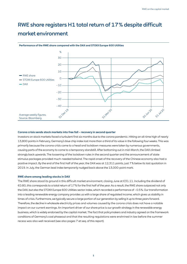# RWE share registers H1 total return of 17 % despite difficult market environment



#### **Performance of the RWE share compared with the DAX and STOXX Europe 600 Utilities**

#### **Corona crisis sends stock markets into free fall – recovery in second quarter**

Investors on stock markets faced a turbulent first six months due to the corona pandemic. Hitting an all-time high of nearly 13,800 points in February, Germany's blue chip index lost more than a third of its value in the following four weeks. This was primarily because the corona crisis came to a head and lockdown measures were taken by numerous governments, causing parts of the economy to come to a temporary standstill. After bottoming out in mid-March, the DAX climbed strongly back upwards. The loosening of the lockdown rules in the second quarter and the announcement of state stimulus packages provided much-needed tailwind. The rapid onset of the recovery of the Chinese economy also had a positive impact. By the end of the first half of the year, the DAX was at 12,311 points, just 7 % below its last quotation in 2019. In July, the German lead index temporarily nudged back above the 13,000-point mark.

#### **RWE share among leading stocks in DAX**

The RWE share stood its ground in this difficult market environment, closing June at €31.11. Including the dividend of €0.80, this corresponds to a total return of 17 % for the first half of the year. As a result, the RWE share outpaced not only the DAX, but also the STOXX Europe 600 Utilities sector index, which recorded a performance of – 0.5 %. Our transformation into a leading renewable energy company provides us with a large share of regulated income, which gives us stability in times of crisis. Furthermore, we typically secure a large portion of our generation by selling it up to three years forward. Therefore, the decline in wholesale electricity prices and volumes caused by the corona crisis does not have a notable impact on our current earnings. An important driver of our share price is our growth strategy in the renewable energy business, which is widely endorsed by the capital market. The fact that policymakers and industry agreed on the framework conditions of Germany's coal phaseout and that the resulting regulations were enshrined in law before the summer recess was also well received (see also pages 7 et seq. of this report).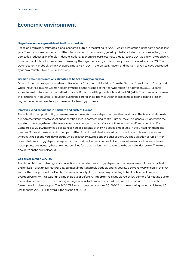# Economic environment

#### **Negative economic growth in all RWE core markets**

Based on preliminary estimates, global economic output in the first half of 2020 was 6 % lower than in the same period last year. The coronavirus pandemic and the infection control measures triggered by it led to substantial declines in the gross domestic product (GDP) of major industrial nations. Economic experts estimate that Eurozone GDP was down by about 9 %. Based on available data, the decline in Germany, the largest economy in the currency area, amounted to some 7 %. The Dutch economy probably shrank by approximately 6 %. GDP in the United Kingdom and the USA is likely to have decreased by approximately 8 % and 5 %, respectively.

#### **German power consumption estimated to be 5 % down year on year**

Economic output dragged down demand for energy. According to initial data from the German Association of Energy and Water Industries (BDEW), German electricity usage in the first half of the year was roughly 5% down on 2019. Experts estimate similar declines for the Netherlands (– 5 %), the United Kingdom (– 7 %) and the USA (– 4 %). The main reasons were the restrictions in industrial production due to the corona crisis. The mild weather also came to bear, albeit to a lesser degree, because less electricity was needed for heating purposes.

#### **Improved wind conditions in northern and eastern Europe**

The utilisation and profitability of renewable energy assets greatly depend on weather conditions. This is why wind speeds are extremely important to us. At our generation sites in northern and central Europe, they were generally higher than the long-term average, whereas they were lower or unchanged at most of our locations in southern Europe and the USA. Compared to 2019, there was a substantial increase in some of the wind speeds measured in the United Kingdom and Sweden. Our wind farms in central Europe and the US northwest also benefited from more favourable wind conditions, whereas wind speeds were down on the whole in southern Europe and the east of the USA. The utilisation of run-of-river power stations strongly depends on precipitation and melt water volumes. In Germany, where most of our run-of-river power plants are located, these volumes remained far below the long-term average in the period under review. They were also down on the first half of 2019.

#### **Gas prices remain very low**

The dispatch times and margins of conventional power stations strongly depend on the development of the cost of fuel and emission allowances. Natural gas, our most important freely tradable energy source, is currently very cheap. In the first six months, spot prices at the Dutch Title Transfer Facility (TTF) – the main gas trading hub in Continental Europe – averaged €8/MWh. This was half as much as a year before. An important role was played by low demand for heating due to the mild winter weather. Furthermore, gas usage in industrial production was down due to the corona crisis. Quotations in forward trading also dropped. The 2021 TTF forward cost an average of €13/MWh in the reporting period, which was €6 less than the 2020 TTF forward in the first half of 2019.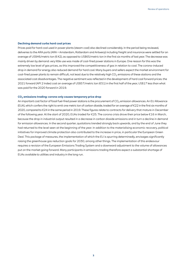#### **Declining demand curbs hard coal prices**

Prices paid for hard coal used in power plants (steam coal) also declined considerably. In the period being reviewed, deliveries to the ARA ports (ARA = Amsterdam, Rotterdam and Antwerp) including freight and insurance were settled for an average of US\$46/metric ton (€42), as opposed to US\$65/metric ton in the first six months of last year. The decrease was mainly driven by demand: very little use was made of coal-fired power stations in Europe. One reason for this was the extremely low level of gas prices, as this improved the competitiveness of gas in relation to coal. The corona-induced drop in demand for energy also reduced demand for hard coal. Many buyers and sellers expect the market environment for coal-fired power plants to remain difficult, not least due to the relatively high  $CO<sub>2</sub>$  emissions of these stations and the associated cost disadvantages. The negative sentiment was reflected in the development of hard coal forward prices: the 2021 forward (API 2 Index) cost an average of US\$57/metric ton (€51) in the first half of the year, US\$17 less than what was paid for the 2020 forward in 2019.

#### **CO2 emissions trading: corona only causes temporary price drop**

An important cost factor of fossil fuel-fired power stations is the procurement of CO<sub>2</sub> emission allowances. An EU Allowance (EUA), which confers the right to emit one metric ton of carbon dioxide, traded for an average of €22 in the first six months of 2020, compared to €24 in the same period in 2019. These figures relate to contracts for delivery that mature in December of the following year. At the start of 2020, EUAs traded for €25. The corona crisis drove their price below €16 in March, because the drop in industrial output resulted in a decrease in carbon dioxide emissions and in turn a decline in demand for emission allowances. In the second quarter, quotations trended strongly back upwards, and by the end of June they had returned to the level seen at the beginning of the year. In addition to the materialising economic recovery, political initiatives for improved climate protection also contributed to the increase in price, in particular the European Green Deal. This package of measures, the implementation of which the EU is spurring determinedly, envisages significantly raising the greenhouse gas reduction goals for 2030, among other things. The implementation of this endeavour requires a revision of the European Emissions Trading System and a downward adjustment to the volume of allowances put on the market going forward. Many participants in emissions trading therefore expect a substantial shortage of EUAs available to utilities and industry in the long run.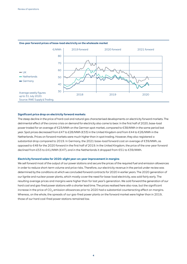

#### **One-year forward prices of base-load electricity on the wholesale market**

#### **Significant price drop on electricity forward markets**

The steep decline in the price of hard coal and natural gas characterised developments on electricity forward markets. The detrimental effect of the corona crisis on demand for electricity also came to bear. In the first half of 2020, base-load power traded for an average of €23/MWh on the German spot market, compared to €38/MWh in the same period last year. Spot prices decreased from £47 to £28/MWh (€33) in the United Kingdom and from €44 to €26/MWh in the Netherlands. Prices on forward markets were much higher than in spot trading. However, they also registered a substantial drop compared to 2019. In Germany, the 2021 base-load forward cost an average of €39/MWh, as opposed to €48 for the 2020 forward in the first half of 2019. In the United Kingdom, the price of the one-year forward declined from £53 to £41/MWh (€47), and in the Netherlands it dropped from €51 to €39/MWh.

#### **Electricity forward sales for 2020: slight year-on-year improvement in margins**

We sell forward most of the output of our power stations and secure the prices of the required fuel and emission allowances in order to reduce short-term volume and price risks. Therefore, our electricity revenue in the period under review was determined by the conditions at which we concluded forward contracts for 2020 in earlier years. The 2020 generation of our lignite and nuclear power plants, which mostly cover the need for base-load electricity, was sold fairly early. The resulting average prices and margins were higher than for last year's generation. We sold forward the generation of our hard coal and gas-fired power stations with a shorter lead time. The prices realised here also rose, but the significant increase in the price of  $CO<sub>2</sub>$  emission allowances prior to 2020 had a substantial counteracting effect on margins. Whereas, on the whole, the spreads of our gas-fired power plants on the forward market were higher than in 2019, those of our hard coal-fired power stations remained low.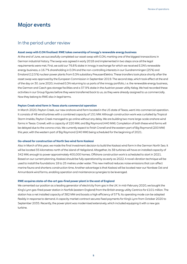# Major events

### In the period under review

#### **Asset swap with E.ON finalised: RWE takes ownership of innogy's renewable energy business**

At the end of June, we successfully completed our asset swap with E.ON, marking one of the biggest transactions in German industrial history. The swap was agreed in early 2018 and implemented in two steps once all the legal requirements were met. First, we sold our 76.8 % stake in innogy in exchange for which we received E.ON's renewable energy business, a 16.7 % shareholding in E.ON and the non-controlling interests in our Gundremmingen (25 %) and Emsland (12.5 %) nuclear power plants from E.ON subsidiary PreussenElektra. These transfers took place shortly after the asset swap was approved by the European Commission in September 2019. The second step, which took effect at the end of the day on 30 June 2020, involved E.ON returning to us parts of the innogy portfolio, i. e. the renewable energy business, the German and Czech gas storage facilities and a 37.9 % stake in the Austrian power utility Kelag. We had recorded these activities in our Group figures before they were transferred back to us, as they were already assigned to us commercially. Now they belong to RWE also in legal terms.

#### **Peyton Creek wind farm in Texas starts commercial operation**

In March 2020, Peyton Creek, our new onshore wind farm located in the US state of Texas, went into commercial operation. It consists of 48 wind turbines with a combined capacity of 151 MW. Although construction work was curtailed by Tropical Storm Imelda, Peyton Creek managed to go online without any delay. We are building two more large-scale onshore wind farms in Texas: Cranell, with a capacity of 220 MW, and Big Raymond (440 MW). Completion of both these wind farms will be delayed due to the corona crisis. We currently expect to finish Cranell and the eastern part of Big Raymond (200 MW) this year, with the western part of Big Raymond (240 MW) being scheduled for the beginning of 2021.

#### **Go-ahead for construction of North Sea wind farm Kaskasi**

Also in March of this year, we made the final investment decision to build the Kaskasi wind farm in the German North Sea. It will be located 35 kilometres north of the island of Heligoland. Altogether, its 38 turbines will have an installed capacity of 342 MW, enough to power approximately 400,000 homes. Offshore construction work is scheduled to start in 2021. Based on our current planning, Kaskasi should be fully operational by as early as 2022. A novel vibration technique will be used to install the foundations 18 to 25 metres under water. This new method reduces noise emissions that can affect marine fauna and shortens construction time. Another advantage is that Kaskasi will be located near our Nordsee Ost and Amrumbank wind farms, enabling operation and maintenance synergies to be leveraged.

#### **RWE acquires state-of-the-art gas-fired power plant in the east of England**

We cemented our position as a leading generator of electricity from gas in the UK. In mid-February 2020, we bought the King's Lynn gas-fired power station in Norfolk (eastern England) from the British energy utility Centrica for £101 million. The station has a net installed capacity of 382 MW and boasts a high efficiency of 57 %. Its operating mode can be adapted flexibly in response to demand. A capacity market contract secures fixed payments for King's Lynn from October 2020 to September 2035. Recently, the power plant was modernised extensively, which included equipping it with a new gas turbine.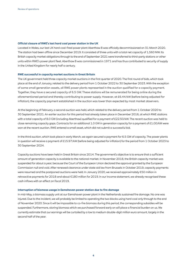#### **Official closure of RWE's last hard coal power station in the UK**

Located in Wales, our last UK hard coal-fired power plant Aberthaw B was officially decommissioned on 31 March 2020. The station had been offline since December 2019. It consisted of three units with a total net capacity of 1,560 MW. Its British capacity market obligations through to the end of September 2021 were transferred to third-party stations or other units within RWE's power plant fleet. Aberthaw B was commissioned in 1971 and has thus contributed to security of supply in the United Kingdom for nearly half a century.

#### **RWE successful in capacity market auctions in Great Britain**

The UK government held three capacity market auctions in the first quarter of 2020. The first round of bids, which took place at the end of January, related to the delivery period from 1 October 2022 to 30 September 2023. With the exception of some small generation assets, all RWE power plants represented in the auction qualified for a capacity payment. Together, they have a secured capacity of 6.5 GW. These stations will be remunerated for being online during the aforementioned period and thereby contributing to power supply. However, at £6.44/kW (before being adjusted for inflation), the capacity payment established in the auction was lower than expected by most market observers.

At the beginning of February, a second auction was held, which related to the delivery period from 1 October 2020 to 30 September 2021. An earlier auction for this period had already taken place in December 2016, at which RWE stations with a total capacity of 8.0 GW (including Aberthaw) qualified for a payment of £22.50/kW. The recent auction was held to close remaining capacity gaps. Contracts for an additional 1.0 GW in generation capacity for a payment of £1.00/kW were won at the recent auction. RWE entered a small asset, which did not submit a successful bid.

In the third auction, which took place in early March, we again secured a payment for 6.5 GW of capacity. The power plants in question will receive a payment of £15.97/kW (before being adjusted for inflation) for the period from 1 October 2023 to 30 September 2024.

Capacity auctions have been held in Great Britain since 2014. The government's objective is to ensure that a sufficient amount of generation capacity is available to the national market. In November 2018, the British capacity market was suspended for about a year, because the Court of the European Union declared the approval granted by the European Commission null and void. After renewed clearance under state aid law from Brussels in October 2019, capacity payments were resumed and the postponed auctions were held. In January 2020, we received approximately €50 million in retroactive payments for 2018 and about €180 million for 2019. In our income statement, we already recognised these cash inflows with an effect on fiscal 2019.

#### **Interruption of biomass usage in Eemshaven power station due to fire damage**

In mid-May, a biomass supply unit at our Eemshaven power plant in the Netherlands sustained fire damage. No one was injured. Due to the incident, we will probably be limited to operating the two blocks using hard coal only through to the end of November 2020. Since it will be impossible to co-fire biomass during this period, the corresponding subsidies will be suspended. Furthermore, storing biomass which we purchased forward early on will place a financial burden on us. We currently estimate that our earnings will be curtailed by a low to medium double-digit million euro amount, largely in the second half of the year.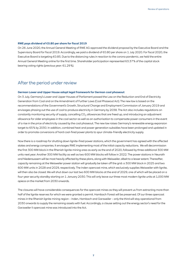#### **RWE pays dividend of €0.80 per share for fiscal 2019**

On 26 June 2020, the Annual General Meeting of RWE AG approved the dividend proposal by the Executive Board and the Supervisory Board for fiscal 2019. Accordingly, we paid a dividend of €0.80 per share on 1 July 2020. For fiscal 2020, the Executive Board is targeting €0.85. Due to the distancing rules in reaction to the corona pandemic, we held the entire Annual General Meeting online for the first time. Shareholder participation represented 63.37 % of the capital stock bearing voting rights (previous year: 61.29 %).

### After the period under review

#### **German Lower and Upper House adopt legal framework for German coal phaseout**

On 3 July, Germany's Lower and Upper Houses of Parliament passed the Law on the Reduction and End of Electricity Generation from Coal and on the Amendment of Further Laws (Coal Phaseout Act). The new law is based on the recommendations of the Government's Growth, Structural Change and Employment Commission of January 2019 and envisages phasing out the use of coal to produce electricity in Germany by 2038. The Act also includes regulations on constantly monitoring security of supply, cancelling  $CO<sub>2</sub>$  allowances that are freed up, and introducing an adjustment allowance for older employees in the coal sector as well as an authorisation to compensate power consumers in the event of a rise in the price of electricity caused by the coal phaseout. The new law raises Germany's renewable energy expansion target to 65 % by 2030. In addition, combined heat and power generation subsidies have been prolonged and updated in order to promote conversions of hard coal-fired power plants to spur climate-friendly electricity supply.

Now there is a roadmap for shutting down lignite-fired power stations, which the government has agreed with the affected states and energy companies. It envisages RWE implementing most of the initial capacity reductions. We will decommission the first 300 MW block in the Rhenish lignite mining area as early as the end of 2020, followed by three additional 300 MW units next year. Another 300 MW facility as well as two 600 MW blocks will follow in 2022. The power stations in Neurath and Niederaussem will be most heavily affected by these plans, along with Weisweiler, albeit to a lesser extent. Thereafter, capacity remaining at the Weisweiler power station will gradually be taken off the grid: a 300 MW block in 2025 and two 600 MW units in 2028 and 2029, respectively. The Inden opencast mine, which exclusively supplies Weisweiler with lignite, will then also be closed. We will shut down our last two 600 MW blocks at the end of 2029, one of which will be placed on a four-year security standby starting on 1 January 2030. This will only leave our three most modern lignite units at 1,000 MW apiece on the market from 2030 onwards.

The closures will have considerable consequences for the opencast mines as they will prevent us from extracting more than half of the lignite reserves for which we were granted a permit. Hambach Forest will be preserved. Of our three opencast mines in the Rhenish lignite mining region – Inden, Hambach and Garzweiler – only the third will stay operational from 2030 onwards to supply the remaining assets with fuel. Accordingly, a clause setting out the energy sector's need for the Garzweiler II opencast mine was introduced into the Act.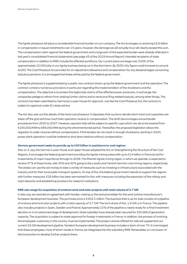The lignite phaseout will place a considerable financial burden on our company. The Act envisages us receiving €2.6 billion in compensation in equal instalments over 15 years. However, the damage we will actually incur will clearly exceed this sum. The compensation claim against the federal government and a large part of the expected burden were already reflected in last year's consolidated financial statements (see page 43 of the 2019 Annual Report). Intended recipients of state compensation in addition to RWE include the affected workforce. Our current plans envisage over 3,000 of the approximately 10,000 jobs in our lignite business being cut in the short term. By 2030, this figure could increase to around 6,000. The Coal Phaseout Act provides for an adjustment allowance and compensation for any disadvantages concerning statutory pensions. It is envisaged that these will be paid by the federal government.

The lignite phaseout is supplemented by a public-law contract drawn up by the federal government and the operators. The contract contains numerous provisions in particular regarding the implementation of the shutdowns and the compensation. The objective is to protect the legitimate claims of the affected power producers. In exchange, the companies pledge to refrain from staking further claims and to renounce filing related lawsuits, among other things. The contract has been submitted to Germany's Lower House for approval. Just like the Coal Phaseout Act, the contract is subject to approval under EU state aid law.

The Act also sets out the details of the hard coal phaseout. It stipulates that auctions decide which hard coal capacities are taken off the grid and how much their operators receive in compensation. The draft law envisages annual tender procedures from 2020 to 2027. However, operator bids will be subject to specific caps which are set to be lowered from €165,000/MW to €89,000/MW during the aforementioned period. Thereafter, the proposed legislation allows the regulator to order closures without compensation. If the tenders do not result in enough shutdowns, starting in 2024, power plant operators could be ordered to shut down stations without compensation.

#### **German government seeks to provide up to €40 billion in assistance to coal regions**

Also on 3 July, the German Lower House and Upper House adopted the Act on Strengthening the Structure of the Coal Regions. It envisages the federal government providing the lignite mining areas with up to €14 billion in financial aid for investments of major importance through to 2038. The Rhenish lignite mining region, in which we operate, is expected to receive 37 % of these funds, with 43 % and 20 % going to the Lausitz and Central German coal mining regions, respectively. The states can use the aid money to take a variety of measures such as investing in infrastructure associated with the industry and for their local public transport systems. On top of this, the federal government intends to support the regions with further measures. €26 billion has been earmarked for this, with measures including the expansion of the railway and road networks and establishing locations for research institutions.

#### **RWE sets stage for acquisition of onshore wind and solar projects with total volume of 2.7 GW**

In late July, we reached an agreement with Nordex, making us the exclusive bidder for the wind turbine manufacturer's European development business. The purchase price is €402.5 million. The business that is up for sale consists of a pipeline of onshore wind and solar projects with a total capacity of 2.7 GW. The lion's share of this, 1.9 GW, is in France. The pipeline also includes projects in Spain, Sweden and Poland. Approximately 15 % of the pipeline is nearly ready for a final investment decision or in an advanced stage of development. State subsidies have already been secured for 230 MW of generation capacity. The acquisition is subject to state approval for foreign investments in France. In addition, the process of involving the employees customary in the country must be implemented. The project volume offered for sale will supplement our current 22 GW development pipeline. Nordex's European development business includes a team of over 70. It is envisaged that these employees, most of whom reside in France, be integrated into the subsidiary RWE Renewables on conclusion of the transaction to develop further projects there.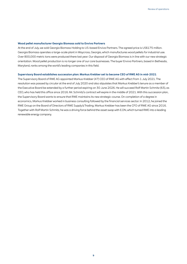#### **Wood pellet manufacturer Georgia Biomass sold to Enviva Partners**

At the end of July, we sold Georgia Biomass Holding to US-based Enviva Partners. The agreed price is US\$175 million. Georgia Biomass operates a large-scale plant in Waycross, Georgia, which manufactures wood pellets for industrial use. Over 800,000 metric tons were produced there last year. Our disposal of Georgia Biomass is in line with our new strategic orientation. Wood pellet production is no longer one of our core businesses. The buyer Enviva Partners, based in Bethesda, Maryland, ranks among the world's leading companies in this field.

#### **Supervisory Board establishes succession plan: Markus Krebber set to become CEO of RWE AG in mid-2021**

The Supervisory Board of RWE AG appointed Markus Krebber (47) CEO of RWE AG with effect from 1 July 2021. The resolution was passed by circular at the end of July 2020 and also stipulates that Markus Krebber's tenure as a member of the Executive Board be extended by a further period expiring on 30 June 2026. He will succeed Rolf Martin Schmitz (63), as CEO, who has held this office since 2016. Mr. Schmitz's contract will expire in the middle of 2021. With this succession plan, the Supervisory Board wants to ensure that RWE maintains its new strategic course. On completion of a degree in economics, Markus Krebber worked in business consulting followed by the financial services sector. In 2012, he joined the RWE Group on the Board of Directors of RWE Supply & Trading. Markus Krebber has been the CFO of RWE AG since 2016. Together with Rolf Martin Schmitz, he was a driving force behind the asset swap with E.ON, which turned RWE into a leading renewable energy company.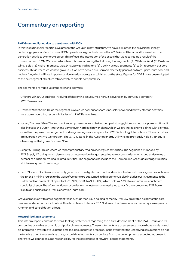# Commentary on reporting

#### **RWE Group realigned due to asset swap with E.ON**

In this year's financial reporting, we present the Group in a new structure. We have eliminated the provisional 'innogy – continuing operations' and 'acquired E.ON operations' segments shown in the 2019 Annual Report and broken down the generation activities by energy source. This reflects the integration of the assets that we received as a result of the transaction with E.ON. We now distribute our business among the following five segments: (1) Offshore Wind, (2) Onshore Wind / Solar, (3) Hydro / Biomass / Gas, (4) Supply & Trading and (5) Coal / Nuclear. Segments (1) to (4) represent our core business. This is where we want to grow. In (5), we have pooled our German electricity generation from lignite, hard coal and nuclear fuel, which will lose importance due to exit roadmaps established by the state. Figures for 2019 have been adapted to the new segment structure retroactively to enable comparability.

The segments are made up of the following activities:

- Offshore Wind: Our business involving offshore wind is subsumed here. It is overseen by our Group company RWE Renewables.
- Onshore Wind / Solar: This is the segment in which we pool our onshore wind, solar power and battery storage activities. Here again, operating responsibility lies with RWE Renewables.
- Hydro / Biomass / Gas: This segment encompasses our run-of-river, pumped storage, biomass and gas power stations. It also includes the Dutch Amer 9 and Eemshaven hard coal power plants, which we are increasingly co-firing with biomass, as well as the project management and engineering services specialist RWE Technology International. These activities are overseen by RWE Generation. The 37.9 % stake in the Austrian energy utility Kelag previously held by innogy is also assigned to Hydro / Biomass / Gas.
- Supply & Trading: This is where we report proprietary trading of energy commodities. The segment is managed by RWE Supply & Trading, which also acts as an intermediary for gas, supplies key accounts with energy, and undertakes a number of additional trading-related activities. The segment also includes the German and Czech gas storage facilities which we acquired from innogy.
- Coal / Nuclear: Our German electricity generation from lignite, hard coal, and nuclear fuel as well as our lignite production in the Rhenish mining region to the west of Cologne are subsumed in this segment. It also includes our investments in the Dutch nuclear power plant operator EPZ (30 %) and URANIT (50 %), which holds a 33 % stake in uranium enrichment specialist Urenco. The aforementioned activities and investments are assigned to our Group companies RWE Power (lignite and nuclear) and RWE Generation (hard coal).

Group companies with cross-segment tasks such as the Group holding company RWE AG are stated as part of the core business under 'other, consolidation'. This item also includes our 25.1 % stake in the German transmission system operator Amprion and consolidation effects.

#### **Forward-looking statements**

This interim report contains forward-looking statements regarding the future development of the RWE Group and its companies as well as economic and political developments. These statements are assessments that we have made based on information available to us at the time this document was prepared. In the event that the underlying assumptions do not materialise or unforeseen risks arise, actual developments can deviate from the developments expected at present. Therefore, we cannot assume responsibility for the correctness of forward-looking statements.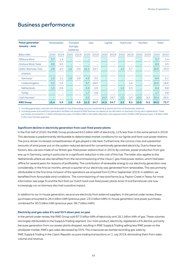| <b>Power generation</b><br>January - June |      | <b>Renewables</b> |                   | Pumped<br>storage,<br><b>batteries</b> |      | Gas  | Lignite |      | Hard coal |      | <b>Nuclear</b> |      |      | Total <sup>1</sup> |
|-------------------------------------------|------|-------------------|-------------------|----------------------------------------|------|------|---------|------|-----------|------|----------------|------|------|--------------------|
| <b>Billion kWh</b>                        | 2020 | 2019              | 2020              | 2019                                   | 2020 | 2019 | 2020    | 2019 | 2020      | 2019 | 2020           | 2019 | 2020 | 2019               |
| Offshore Wind                             | 3.7  | 1.4               |                   |                                        |      |      |         |      |           |      |                |      | 3.7  | 1.4                |
| Onshore Wind/Solar                        | 8.9  | 2.5               |                   |                                        |      |      |         |      |           |      |                |      | 8.9  | 2.5                |
| Hydro / Biomass / Gas                     | 2.8  | 2.0               | 1.0               | 0.9                                    | 21.1 | 24.7 |         | -    | 1.5       | 5.7  |                |      | 26.5 | 33.3               |
| of which:                                 |      |                   |                   |                                        |      |      |         |      |           |      |                |      |      |                    |
| Germany <sup>2</sup>                      | 1.0  | 1.2               | 1.0               | 0.9                                    | 4.3  | 3.0  |         |      |           |      |                |      | 6.4  | 5.1                |
| United Kingdom                            | 0.3  | 0.2               |                   | $\overline{\phantom{m}}$               | 9.7  | 18.0 |         |      | -         | 0.4  |                |      | 10.0 | 18.6               |
| <b>Netherlands</b>                        | 1.5  | 0.6               | $\qquad \qquad -$ | $\overline{\phantom{a}}$               | 5.4  | 2.9  |         |      | 1.5       | 5.3  |                |      | 8.4  | 8.8                |
| <b>Turkey</b>                             |      |                   |                   | $\overline{\phantom{a}}$               | 1.7  | 0.8  |         |      |           |      |                |      | 1.7  | 0.8                |
| Coal/Nuclear <sup>2</sup>                 |      |                   |                   | $\overline{\phantom{0}}$               | 0.2  | -    | 14.3    | 24.7 | 1.0       | 2.5  | 10.0           | 9.2  | 25.4 | 36.5               |

# Business performance

1 Including generation volumes not attributable to any of the energy sources mentioned (e. g. electricity from oil-fired power stations).

2 Including power procured from generation facilities not owned by RWE that we can deploy at our discretion on the basis of long-term agreements. These purchases amounted to 1.1 billion kWh (previous year: 0.9 billion kWh) in the Hydro / Biomass / Gas segment and 0.3 billion kWh (previous year: 0.9 billion kWh) in the Coal / Nuclear segment.

**RWE Group 15.4 5.9 1.0 0.9 21.3 24.7 14.3 24.7 2.5 8.2 10.0 9.2 64.5 73.7**

#### **Significant decline in electricity generation from coal-fired power plants**

In the first half of 2020, the RWE Group produced 64.5 billion kWh of electricity, 12 % less than in the same period in 2019. This decrease is predominantly attributable to deteriorated market conditions for our lignite and hard coal power stations. The price-driven increased competitiveness of gas played a role here. Furthermore, the corona crisis and substantial amounts of wind power put on the system reduced demand for conventionally generated electricity. Due to these two factors, less use was made of our British gas-fired power stations than in 2019. By contrast, power production from gas was up in Germany, owing in particular to a significant reduction in the cost of this fuel. The latter also applies to the Netherlands where we also benefited from the recommissioning of the Claus C gas-fired power station, which had been offline for several years for reasons of profitability. The contribution of renewable energy to our electricity generation rose considerably. In the first six months, almost a quarter of our electricity was generated from renewables. This was primarily attributable to the first-time inclusion of the operations we acquired from E.ON in September 2019. In addition, we benefited from favourable wind conditions. The commissioning of new wind farms (e. g. Peyton Creek in Texas; for more information see page 5) and the fact that our Dutch hard coal-fired power plants Amer 9 and Eemshaven are now increasingly run on biomass also had a positive impact.

In addition to our in-house generation, we procure electricity from external suppliers. In the period under review, these purchases amounted to 26.0 billion kWh (previous year: 23.0 billion kWh). In-house generation and power purchases combined for 90.5 billion kWh (previous year: 96.7 billion kWh).

#### **Electricity and gas sales 6 % and 55 % down year on year**

In the period under review, the RWE Group sold 87.0 billion kWh of electricity and 18.1 billion kWh of gas. These volumes are largely attributable to the Supply & Trading segment. Our main product, electricity, registered a 6 % decline, primarily because generation from our power plants dropped, resulting in RWE Supply & Trading selling less RWE power on the wholesale market. RWE's gas sales decreased by 55 %. This is because we started recording gas sales by RWE Supply & Trading in the Czech Republic as pure trading transactions on 1 July 2019, eliminating them from sales volume and revenue.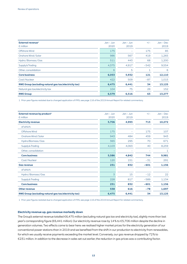| External revenue <sup>1</sup><br>$\epsilon$ million          | $Jan - Jun$<br>2020 | $Jan - Jun$<br>2019 | $+/-$  | $Jan - Dec$<br>2019 |
|--------------------------------------------------------------|---------------------|---------------------|--------|---------------------|
| Offshore Wind                                                | 175                 |                     | 175    | 85                  |
| Onshore Wind / Solar                                         | 986                 | 567                 | 419    | 1,265               |
| Hydro / Biomass / Gas                                        | 511                 | 443                 | 68     | 1,200               |
| Supply & Trading                                             | 4,375               | 4,917               | $-542$ | 9,554               |
| Other, consolidation                                         | 6                   | 5                   |        | -6                  |
| <b>Core business</b>                                         | 6,053               | 5,932               | 121    | 12,110              |
| Coal/Nuclear                                                 | 422                 | 509                 | $-87$  | 1,015               |
| <b>RWE Group (excluding natural gas tax/electricity tax)</b> | 6,475               | 6,441               | 34     | 13,125              |
| Natural gas tax/electricity tax                              | 104                 | 75                  | 29     | 152                 |
| <b>RWE Group</b>                                             | 6,579               | 6,516               | 63     | 13,277              |

1 Prior-year figures restated due to changed application of IFRS; see page 116 of the 2019 Annual Report for related commentary.

| External revenue by product <sup>1</sup><br>$\epsilon$ million | $Jan - Jun$<br>2020 | $Jan - Jun$<br>2019 | $+/-$  | $Jan - Dec$<br>2019 |
|----------------------------------------------------------------|---------------------|---------------------|--------|---------------------|
| <b>Electricity revenue</b>                                     | 5,706               | 4,993               | 713    | 10,272              |
| of which:                                                      |                     |                     |        |                     |
| Offshore Wind                                                  | 175                 |                     | 175    | 107                 |
| Onshore Wind / Solar                                           | 943                 | 484                 | 459    | 943                 |
| Hydro/Biomass/Gas                                              | 365                 | 295                 | 70     | 671                 |
| Supply & Trading                                               | 4,103               | 4,063               | 40     | 8,259               |
| Other, consolidation                                           |                     |                     |        | 1                   |
| <b>Core business</b>                                           | 5,586               | 4,842               | 744    | 9,981               |
| Coal/Nuclear                                                   | 120                 | 151                 | $-31$  | 291                 |
| <b>Gas revenue</b>                                             | 231                 | 832                 | $-601$ | 1,156               |
| of which:                                                      |                     |                     |        |                     |
| Hydro / Biomass / Gas                                          | 3                   | 15                  | $-12$  | 22                  |
| Supply & Trading                                               | 228                 | 817                 | $-589$ | 1,134               |
| <b>Core business</b>                                           | 231                 | 832                 | $-601$ | 1,156               |
| <b>Other revenue</b>                                           | 538                 | 616                 | $-78$  | 1,697               |
| <b>RWE Group (excluding natural gas tax/electricity tax)</b>   | 6,475               | 6,441               | 34     | 13,125              |

1 Prior-year figures restated due to changed application of IFRS; see page 116 of the 2019 Annual Report for related commentary.

#### **Electricity revenue up, gas revenue markedly down**

The Group's external revenue totalled €6,475 million (excluding natural gas tax and electricity tax), slightly more than last year's corresponding figure (€6,441 million). Our electricity revenue rose by 14 % to €5,706 million despite the decline in generation volumes. Two effects came to bear here: we realised higher market prices for the electricity generation of our conventional power stations than in 2019 and we benefited from the shift in our production to electricity from renewables, for which we usually receive payments exceeding the market level. Conversely, our gas revenue dropped by 72 % to €231 million. In addition to the decrease in sales set out earlier, the reduction in gas prices was a contributing factor.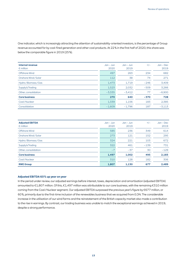One indicator, which is increasingly attracting the attention of sustainability-oriented investors, is the percentage of Group revenue accounted for by coal-fired generation and other coal products. At 22 % in the first half of 2020, this share was below the comparable figure in 2019 (25 %).

| Internal revenue<br>$\epsilon$ million | $Jan - Jun$<br>2020 | $Jan - Jun$<br>2019 | $+/-$  | $Jan - Dec$<br>2019 |
|----------------------------------------|---------------------|---------------------|--------|---------------------|
| Offshore Wind                          | 497                 | 263                 | 234    | 682                 |
| Onshore Wind / Solar                   | 112                 | 38                  | 74     | 271                 |
| Hydro / Biomass / Gas                  | 1,473               | 1,719               | $-246$ | 3,409               |
| Supply & Trading                       | 1,523               | 2,032               | $-509$ | 3,266               |
| Other, consolidation                   | $-3,335$            | $-3.412$            | 77     | $-6,900$            |
| <b>Core business</b>                   | 270                 | 640                 | $-370$ | 728                 |
| Coal/Nuclear                           | 1,339               | 1,156               | 183    | 2,385               |
| Consolidation                          | $-1.609$            | $-1.796$            | 187    | $-3.113$            |

| <b>Adjusted EBITDA</b><br>$\epsilon$ million | $Jan - Jun$<br>2020 | $Jan - Jun$<br>2019 | $+/-$  | $Jan - Dec$<br>2019 |
|----------------------------------------------|---------------------|---------------------|--------|---------------------|
| Offshore Wind                                | 585                 | 236                 | 349    | 614                 |
| Onshore Wind / Solar                         | 273                 | 121                 | 152    | 295                 |
| Hydro / Biomass / Gas                        | 324                 | 221                 | 103    | 672                 |
| Supply & Trading                             | 322                 | 461                 | $-139$ | 731                 |
| Other, consolidation                         | $-7$                | $-37$               | 30     | $-129$              |
| <b>Core business</b>                         | 1,497               | 1,002               | 495    | 2,183               |
| Coal/Nuclear                                 | 310                 | 128                 | 182    | 306                 |
| <b>RWE Group</b>                             | 1,807               | 1,130               | 677    | 2,489               |

#### **Adjusted EBITDA 60 % up year on year**

In the period under review, our adjusted earnings before interest, taxes, depreciation and amortisation (adjusted EBITDA) amounted to €1,807 million. Of this, €1,497 million was attributable to our core business, with the remaining €310 million coming from the Coal / Nuclear segment. Our adjusted EBITDA surpassed the previous year's figure by €677 million, or 60 %, primarily due to the first-time inclusion of the renewables business that we acquired from E.ON. The considerable increase in the utilisation of our wind farms and the reinstatement of the British capacity market also made a contribution to the rise in earnings. By contrast, our trading business was unable to match the exceptional earnings achieved in 2019, despite a strong performance.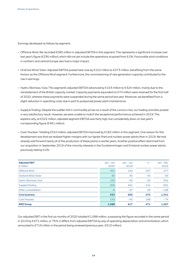Earnings developed as follows by segment:

- Offshore Wind: We recorded €585 million in adjusted EBITDA in this segment. This represents a significant increase over last year's figure (€236 million), which did not yet include the operations acquired from E.ON. Favourable wind conditions in northern and central Europe also had a major impact.
- Onshore Wind / Solar: Adjusted EBITDA posted here rose by €152 million to €273 million, benefiting from the same factors as the Offshore Wind segment. Furthermore, the commissioning of new generation capacity contributed to the rise in earnings.
- Hydro / Biomass / Gas: This segment's adjusted EBITDA advanced by €103 million to €324 million, mainly due to the reinstatement of the British capacity market. Capacity payments equivalent to €74 million were received for the first half of 2020, whereas these payments were suspended during the same period last year. Moreover, we benefited from a slight reduction in operating costs due in part to postponed power plant maintenance.
- Supply & Trading: Despite the sudden fall in commodity prices as a result of the corona crisis, our trading activities posted a very satisfactory result. However, we were unable to match the exceptional performance achieved in 2019. This explains why, at €322 million, adjusted segment EBITDA was fairly high, but considerably down on last year's corresponding figure (€461 million).
- Coal / Nuclear: Totalling €310 million, adjusted EBITDA improved by €182 million in this segment. One reason for this development was that we realised higher margins with our lignite-fired and nuclear power plants than in 2019. We had already sold forward nearly all of the production of these plants in earlier years. Another positive effect stemmed from our acquisition in September 2019 of the minority interests in the Gundremmingen and Emsland nuclear power plants previously held by E.ON.

| <b>Adjusted EBIT</b><br>$\epsilon$ million | $Jan - Jun$<br>2020 | $Jan - Jun$<br>2019 | $+/-$  | $Jan - Dec$<br>2019 |
|--------------------------------------------|---------------------|---------------------|--------|---------------------|
| Offshore Wind                              | 401                 | 154                 | 247    | 377                 |
| Onshore Wind / Solar                       | 85                  | 40                  | 45     | 59                  |
| Hydro / Biomass / Gas                      | 155                 | 62                  | 93     | 342                 |
| Supply & Trading                           | 300                 | 441                 | $-141$ | 691                 |
| Other, consolidation                       | $-8$                | $-37$               | 29     | $-128$              |
| <b>Core business</b>                       | 933                 | 660                 | 273    | 1,341               |
| Coal/Nuclear                               | 155                 | $-43$               | 198    | $-74$               |
| <b>RWE Group</b>                           | 1,088               | 617                 | 471    | 1,267               |

Our adjusted EBIT in the first six months of 2020 totalled €1,088 million, surpassing the figure recorded in the same period in 2019 by €471 million, or 76 %. It differs from adjusted EBITDA by way of operating depreciation and amortisation, which amounted to €719 million in the period being reviewed (previous year: €513 million).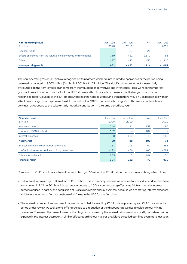| Non-operating result<br>$\epsilon$ million                          | Jan – Jun<br>2020 | .Jan – .Jun<br>2019 | $+/-$ | $Jan - Dec$<br>2019 |
|---------------------------------------------------------------------|-------------------|---------------------|-------|---------------------|
| Disposal result                                                     | $-$               |                     | $-21$ | 48                  |
| Effects on income from the valuation of derivatives and inventories | 739               | $-431$              | 1.170 | 81                  |
| Other                                                               | $-77$             | $-42$               | $-35$ | $-1.210$            |
| <b>Non-operating result</b>                                         | 662               | $-452$              | 1.114 | $-1.081$            |

The non-operating result, in which we recognise certain factors which are not related to operations or the period being reviewed, amounted to €662 million (first half of 2019: - €452 million). This significant improvement is essentially attributable to the item 'effects on income from the valuation of derivatives and inventories'. Here, we report temporary gains or losses that arise from the fact that IFRS stipulates that financial instruments used to hedge price risks be recognised at fair value as of the cut-off date, whereas the hedged underlying transactions may only be recognised with an effect on earnings once they are realised. In the first half of 2020, this resulted in a significantly positive contribution to earnings, as opposed to the substantially negative contribution in the same period last year.

| <b>Financial result</b><br>$\epsilon$ million     | $Jan - Jun$<br>2020 | $Jan - Jun$<br>2019 | $+/-$  | $Jan - Dec$<br>2019 |
|---------------------------------------------------|---------------------|---------------------|--------|---------------------|
| Interest income                                   | 248                 | 91                  | 157    | 185                 |
| of which: E.ON dividend                           | 182                 |                     | 182    |                     |
| Interest expenses                                 | $-168$              | $-119$              | $-49$  | $-258$              |
| <b>Net interest</b>                               | 80                  | $-28$               | 108    | $-73$               |
| Interest accretion to non-current provisions      | $-151$              | $-213$              | 62     | $-881$              |
| of which: interest accretion to mining provisions | $-122$              | $-56$               | $-66$  | $-581$              |
| Other financial result                            | $-233$              | 9                   | $-242$ | 16                  |
| <b>Financial result</b>                           | $-304$              | $-232$              | $-72$  | $-938$              |

Compared to 2019, our financial result deteriorated by €72 million to – €304 million. Its components changed as follows:

- Net interest improved by €108 million to €80 million. This was mainly because we received our first dividend for the stake we acquired in E.ON in 2019, which currently amounts to 15 %. A counteracting effect was felt from heavier interest burdens caused in part by the acquisition of E.ON's renewable energy business, because we are stating interest expenses which were incurred to finance onshore wind farms in the USA for the first time.
- The interest accretion to non-current provisions curtailed the result by €151 million (previous year: €213 million). In the period under review, we took a one-off charge due to a reduction of the discount rate we use to calculate our mining provisions. The rise in the present value of the obligations caused by the interest adjustment was partly considered as an expense in the interest accretion. A similar effect regarding our nuclear provisions curtailed earnings even more last year.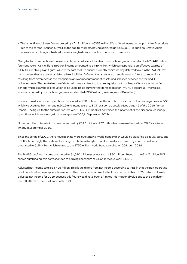• The 'other financial result' deteriorated by €242 million to – €233 million. We suffered losses on our portfolio of securities due to the corona-induced turmoil on the capital markets, having achieved gains in 2019. In addition, unfavourable interest and exchange rate developments weighed on income from financial transactions.

Owing to the aforementioned developments, income before taxes from our continuing operations totalled €1,446 million (previous year: – €67 million). Taxes on income amounted to €449 million, which corresponds to an effective tax rate of 31 %. This relatively high figure is due to the fact that we cannot currently capitalise any deferred taxes in the RWE AG tax group unless they are offset by deferred tax liabilities. Deferred tax assets are an entitlement to future tax reductions resulting from differences in the recognition and/or measurement of assets and liabilities between the tax and IFRS balance sheets. The capitalisation of deferred taxes is subject to the prerequisite that taxable profits arise in future fiscal periods which allow the tax reduction to be used. This is currently not foreseeable for RWE AG's tax group. After taxes, income achieved by our continuing operations totalled €997 million (previous year: €84 million).

Income from discontinued operations amounted to €50 million. It is attributable to our stake in Slovak energy provider VSE, which we acquired from innogy in 2019 and intend to sell to E.ON as soon as possible (see page 45 of the 2019 Annual Report). The figure for the same period last year (€1,311 million) still contained the income of all the discontinued innogy operations which were sold, with the exception of VSE, in September 2019.

Non-controlling interests in income decreased by €513 million to €37 million because we divested our 76.8 % stake in innogy in September 2019.

Since the spring of 2019, there have been no more outstanding hybrid bonds which would be classified as equity pursuant to IFRS. Accordingly, the portion of earnings attributable to hybrid capital investors was zero. By contrast, last year it amounted to €15 million, which related to the £750 million hybrid bond we called on 20 March 2019.

The RWE Group's net income amounted to €1,010 million (previous year: €830 million). Based on the 614.7 million RWE shares outstanding, this corresponded to earnings per share of €1.64 (previous year: €1.35).

Adjusted net income totalled €795 million. This figure differs from net income according to IFRS in that the non-operating result, which reflects exceptional items, and other major non-recurrent effects are deducted from it. We did not calculate adjusted net income for 2019 because this figure would have been of limited informational value due to the significant one-off effects of the asset swap with E.ON.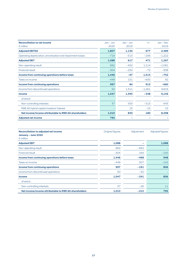| <b>Reconciliation to net income</b>                        | $Jan - Jun$ | $Jan - Jun$ | $+/-$    | $Jan - Dec$ |
|------------------------------------------------------------|-------------|-------------|----------|-------------|
| $\epsilon$ million                                         | 2020        | 2019        |          | 2019        |
| <b>Adjusted EBITDA</b>                                     | 1,807       | 1,130       | 677      | 2,489       |
| Operating depreciation, amortisation and impairment losses | $-719$      | $-513$      | $-206$   | $-1,222$    |
| <b>Adjusted EBIT</b>                                       | 1,088       | 617         | 471      | 1,267       |
| Non-operating result                                       | 662         | $-452$      | 1,114    | $-1,081$    |
| <b>Financial result</b>                                    | $-304$      | $-232$      | $-72$    | $-938$      |
| Income from continuing operations before taxes             | 1,446       | $-67$       | 1,513    | $-752$      |
| Taxes on income                                            | $-449$      | 151         | $-600$   | 92          |
| <b>Income from continuing operations</b>                   | 997         | 84          | 913      | $-660$      |
| Income from discontinued operations                        | 50          | 1,311       | $-1,261$ | 9,816       |
| <b>Income</b>                                              | 1,047       | 1,395       | $-348$   | 9,156       |
| of which:                                                  |             |             |          |             |
| Non-controlling interests                                  | 37          | 550         | $-513$   | 643         |
| RWE AG hybrid capital investors' interest                  |             | 15          | $-15$    | 15          |
| Net income/income attributable to RWE AG shareholders      | 1,010       | 830         | 180      | 8,498       |
| <b>Adjusted net income</b>                                 | 795         |             |          |             |

| <b>Reconciliation to adjusted net income</b><br>January - June 2020<br>$\epsilon$ million | Original figures | Adjustment | <b>Adjusted figures</b> |
|-------------------------------------------------------------------------------------------|------------------|------------|-------------------------|
| <b>Adjusted EBIT</b>                                                                      | 1,088            |            | 1,088                   |
| Non-operating result                                                                      | 662              | $-662$     |                         |
| <b>Financial result</b>                                                                   | $-304$           | 164        | $-140$                  |
| Income from continuing operations before taxes                                            | 1,446            | $-498$     | 948                     |
| Taxes on income                                                                           | $-449$           | 307        | $-142$                  |
| <b>Income from continuing operations</b>                                                  | 997              | $-191$     | 806                     |
| Income from discontinued operations                                                       | 50               | $-50$      |                         |
| <b>Income</b>                                                                             | 1,047            | $-241$     | 806                     |
| of which:                                                                                 |                  |            |                         |
| Non-controlling interests                                                                 | 37               | $-26$      | 11                      |
| Net income/income attributable to RWE AG shareholders                                     | 1,010            | $-215$     | 795                     |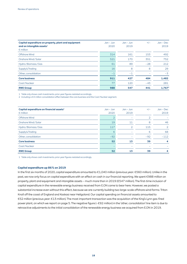| Capital expenditure on property, plant and equipment<br>and on intangible assets <sup>1</sup><br>$\epsilon$ million | Jan – Jun<br>2020 | $Jan - Jun$<br>2019 | $+/-$ | $Jan - Dec$<br>2019 |
|---------------------------------------------------------------------------------------------------------------------|-------------------|---------------------|-------|---------------------|
| Offshore Wind                                                                                                       | 314               | 161                 | 153   | 492                 |
| Onshore Wind/Solar                                                                                                  | 521               | 170                 | 351   | 752                 |
| Hydro / Biomass / Gas                                                                                               | 61                | 89                  | $-28$ | 212                 |
| Supply & Trading                                                                                                    | 16                | 8                   | 8     | 29                  |
| Other, consolidation                                                                                                | $-1$              | $-1$                |       | $-3$                |
| <b>Core business</b>                                                                                                | 911               | 427                 | 484   | 1,482               |
| Coal/Nuclear                                                                                                        | 77                | 120                 | $-43$ | 281                 |
| <b>RWE Group</b>                                                                                                    | 988               | 547                 | 441   | 1,767 <sup>2</sup>  |

1 Table only shows cash investments; prior-year figures restated accordingly.

2 Including a €4 million consolidation effect between the core business and the Coal / Nuclear segment.

| Capital expenditure on financial assets <sup>1</sup><br>$\epsilon$ million | $Jan - Jun$<br>2020 | $Jan - Jun$<br>2019      | $+/-$ | $Jan - Dec$<br>2019 |
|----------------------------------------------------------------------------|---------------------|--------------------------|-------|---------------------|
| Offshore Wind                                                              | っ                   |                          | 2     |                     |
| Onshore Wind / Solar                                                       | 19                  | 11                       | 8     | 46                  |
| Hydro / Biomass / Gas                                                      | 117                 | $\overline{2}$           | 115   | 2                   |
| Supply & Trading                                                           | 6                   | $\overline{\phantom{a}}$ | 6     | 68                  |
| Other, consolidation                                                       | $-92$               |                          | $-92$ | $-112$              |
| <b>Core business</b>                                                       | 52                  | 13                       | 39    | 4                   |
| Coal/Nuclear                                                               |                     |                          |       |                     |
| <b>RWE Group</b>                                                           | 52                  | 13                       | 39    | 4                   |

1 Table only shows cash investments; prior-year figures restated accordingly.

#### **Capital expenditure up 86 % on 2019**

In the first six months of 2020, capital expenditure amounted to €1,040 million (previous year: €560 million). Unlike in the past, we now only focus on capital expenditure with an effect on cash in our financial reporting. We spent €988 million on property, plant and equipment and intangible assets – much more than in 2019 (€547 million). The first-time inclusion of capital expenditure in the renewable energy business received from E.ON came to bear here. However, we posted a substantial increase even without this effect, because we are currently building two large-scale offshore wind farms: Triton Knoll off the coast of England and Kaskasi near Heligoland. Our capital spending on financial assets amounted to €52 million (previous year: €13 million). The most important transaction was the acquisition of the King's Lynn gas-fired power plant, on which we report on page 5. The negative figure (– €92 million) in the 'other, consolidation' line item is due to retroactive adjustments to the initial consolidation of the renewable energy business we acquired from E.ON in 2019.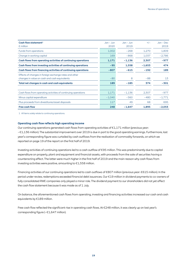| Cash flow statement <sup>1</sup>                              | $Jan - Jun$ | $Jan - Jun$ | $+/-$    | $Jan - Dec$ |
|---------------------------------------------------------------|-------------|-------------|----------|-------------|
| $\epsilon$ million                                            | 2020        | 2019        |          | 2019        |
|                                                               |             |             |          |             |
| Funds from operations                                         | 1,002       | $-268$      | 1.270    | 1,809       |
| Change in working capital                                     | 169         | $-868$      | 1,037    | $-2,786$    |
| Cash flows from operating activities of continuing operations | 1,171       | $-1,136$    | 2,307    | $-977$      |
| Cash flows from investing activities of continuing operations | $-95$       | 1,558       | $-1,653$ | 474         |
| Cash flows from financing activities of continuing operations | $-807$      | $-615$      | $-192$   | 189         |
| Effects of changes in foreign exchange rates and other        |             |             |          |             |
| changes in value on cash and cash equivalents                 | $-80$       | 8           | $-88$    | 13          |
| Total net changes in cash and cash equivalents                | 189         | $-185$      | 374      | $-301$      |
|                                                               |             |             |          |             |
| Cash flows from operating activities of continuing operations | 1,171       | $-1,136$    | 2,307    | $-977$      |
| Minus capital expenditure                                     | $-1,040$    | $-560$      | $-480$   | $-1,771$    |
| Plus proceeds from divestitures/asset disposals               | 117         | 49          | 68       | 695         |
| <b>Free cash flow</b>                                         | 248         | $-1,647$    | 1,895    | $-2,053$    |

1 All items solely relate to continuing operations.

#### **Operating cash flow reflects high operating income**

Our continuing operations generated cash flows from operating activities of €1,171 million (previous year: – €1,136 million). The substantial improvement over 2019 is due in part to the good operating earnings. Furthermore, last year's corresponding figure was curtailed by cash outflows from the realisation of commodity forwards, on which we reported on page 19 of the report on the first half of 2019.

Investing activities of continuing operations led to a cash outflow of €95 million. This was predominantly due to capital expenditure on property, plant and equipment and financial assets, with proceeds from the sale of securities having a counteracting effect. The latter were much higher in the first half of 2019 and the main reason why cash flows from investing activities were positive, amounting to €1,558 million.

Financing activities of our continuing operations led to cash outflows of €807 million (previous year: €615 million). In the period under review, redemptions exceeded financial debt issuances. Our €19 million in dividend payments to co-owners of fully consolidated RWE companies only played a minor role. The dividend payment to our shareholders did not yet affect the cash flow statement because it was made as of 1 July.

On balance, the aforementioned cash flows from operating, investing and financing activities increased our cash and cash equivalents by €189 million.

Free cash flow reflected the significant rise in operating cash flows. At €248 million, it was clearly up on last year's corresponding figure (– €1,647 million).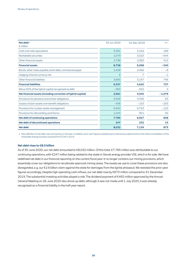| Net debt <sup>1</sup>                                         | 30 Jun 2020 | 31 Dec 2019 | $+/-$    |
|---------------------------------------------------------------|-------------|-------------|----------|
| $\epsilon$ million                                            |             |             |          |
| Cash and cash equivalents                                     | 3,381       | 3,192       | 189      |
| Marketable securities                                         | 2,579       | 3,523       | $-944$   |
| Other financial assets                                        | 2,798       | 2,383       | 415      |
| <b>Financial assets</b>                                       | 8,758       | 9,098       | $-340$   |
| Bonds, other notes payable, bank debt, commercial paper       | 2,458       | 2,466       | $-8$     |
| Hedging of bond currency risk                                 | 6           | 7           | $-1$     |
| Other financial liabilities                                   | 3,893       | 3,147       | 746      |
| <b>Financial liabilities</b>                                  | 6,357       | 5.620       | 737      |
| Minus 50% of the hybrid capital recognised as debt            | $-560$      | $-562$      | 2        |
| Net financial assets (including correction of hybrid capital) | 2,961       | 4.040       | $-1,079$ |
| Provisions for pensions and similar obligations               | 3,509       | 3,446       | 63       |
| Surplus of plan assets over benefit obligations               | $-406$      | $-153$      | $-253$   |
| Provisions for nuclear waste management                       | 6,600       | 6,723       | $-123$   |
| Provisions for dismantling wind farms                         | 1,043       | 951         | 92       |
| <b>Net debt of continuing operations</b>                      | 7,785       | 6,927       | 858      |
| Net debt of discontinued operations                           | 247         | 232         | 15       |
| Net debt                                                      | 8,032       | 7,159       | 873      |

1 New definition of net debt: see commentary in the text. In addition, prior-year figures restated due to retroactive adjustments to the initial consolidation of the renewable energy business acquired from E.ON in 2019.

#### **Net debt rises to €8.0 billion**

As of 30 June 2020, our net debt amounted to €8,032 million. Of this total, €7,785 million was attributable to our continuing operations, with €247 million being related to the stake in Slovak energy provider VSE, which is for sale. We have redefined net debt in our financial reporting on the current fiscal year. It no longer contains our mining provisions, which essentially cover our obligations to recultivate opencast mining areas. The assets we use to cover these provisions are also disregarded, e. g. our €2.6 billion claim against the state for damages from the lignite phaseout. We restated the prior-year figures accordingly. Despite high operating cash inflows, our net debt rose by €873 million compared to 31 December 2019. The substantial investing activities played a role. The dividend payment of €492 million approved by the Annual General Meeting on 26 June 2020 also drove up debt: although it was not made until 1 July 2020, it was already recognised as a financial liability in the half-year report.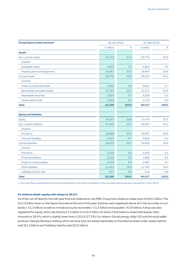| Group balance sheet structure <sup>1</sup> | 30 Jun 2020        |       |                    | 31 Dec 2019 |  |
|--------------------------------------------|--------------------|-------|--------------------|-------------|--|
|                                            | $\epsilon$ million | $\%$  | $\epsilon$ million | $\%$        |  |
| <b>Assets</b>                              |                    |       |                    |             |  |
| Non-current assets                         | 35,723             | 57.4  | 35,776             | 55.9        |  |
| of which:                                  |                    |       |                    |             |  |
| Intangible assets                          | 4,633              | 7.4   | 4,862              | 7.6         |  |
| Property, plant and equipment              | 19,087             | 30.7  | 18,964             | 29.6        |  |
| <b>Current assets</b>                      | 26,476             | 42.6  | 28,241             | 44.1        |  |
| of which:                                  |                    |       |                    |             |  |
| Trade accounts receivable                  | 2,366              | 3.8   | 3,621              | 5.7         |  |
| Receivables and other assets               | 15,794             | 25.4  | 15,311             | 23.9        |  |
| Marketable securities                      | 2,305              | 3.7   | 3,258              | 5.1         |  |
| Assets held for sale                       | 1,469              | 2.4   | 1,274              | 2.0         |  |
| <b>Total</b>                               | 62,199             | 100.0 | 64,017             | 100.0       |  |
|                                            |                    |       |                    |             |  |
| <b>Equity and liabilities</b>              |                    |       |                    |             |  |
| Equity                                     | 16,521             | 26.6  | 17,474             | 27.3        |  |
| Non-current liabilities                    | 27,205             | 43.7  | 26,937             | 42.1        |  |
| of which:                                  |                    |       |                    |             |  |
| Provisions                                 | 18,898             | 30.4  | 18,937             | 29.6        |  |
| <b>Financial liabilities</b>               | 4,151              | 6.7   | 3,924              | 6.1         |  |
| <b>Current liabilities</b>                 | 18,473             | 29.7  | 19,606             | 30.6        |  |
| of which:                                  |                    |       |                    |             |  |
| Provisions                                 | 2,219              | 3.6   | 2,638              | 4.1         |  |
| <b>Financial liabilities</b>               | 2,200              | 3.5   | 1,689              | 2.6         |  |
| Trade accounts payable                     | 2,103              | 3.4   | 2,987              | 4.7         |  |
| Other liabilities                          | 11,414             | 18.4  | 11,782             | 18.4        |  |
| Liabilities held for sale                  | 537                | 0.9   | 510                | 0.8         |  |
| Total                                      | 62,199             | 100.0 | 64,017             | 100.0       |  |

1 Prior-year figures restated due to retroactive adjustments to the initial consolidation of the renewable energy business acquired from E.ON in 2019.

#### **H1 balance sheet: equity ratio drops to 26.6 %**

As of the cut-off date for the half-year financial statements, the RWE Group had a balance-sheet total of €62.2 billion. This is €1.8 billion down on the figure recorded at the end of last year. Declines were registered above all in the securities on our books (– €1.0 billion) as well as in trade accounts receivable (– €1.3 billion) and payable (– €0.9 billion). A drop was also registered for equity, which declined by €1.0 billion to €16.5 billion. Its share of the balance-sheet total (equity ratio) amounts to 26.6 %, which is slightly lower than in 2019 (27.3 %). Our stake in Slovak energy utility VSE and the wood pellet producer Georgia Biomass Holding, which we have sold, are stated separately on the balance sheet under 'assets held for sale' (€1.5 billion) and 'liabilities held for sale' (€0.5 billion).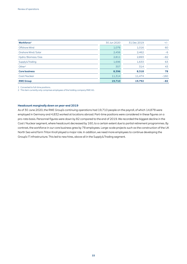| Workforce <sup>1</sup> | 30 Jun 2020 | 31 Dec 2019 | $+/-$  |
|------------------------|-------------|-------------|--------|
| Offshore Wind          | 1,076       | 1,016       | 60     |
| Onshore Wind / Solar   | 2,456       | 2,462       | $-6$   |
| Hydro / Biomass / Gas  | 2,811       | 2,893       | $-82$  |
| Supply & Trading       | 1,696       | 1,633       | 63     |
| Other <sup>2</sup>     | 357         | 314         | 43     |
| <b>Core business</b>   | 8,396       | 8,318       | 78     |
| Coal/Nuclear           | 11,314      | 11,474      | $-160$ |
| <b>RWE Group</b>       | 19,710      | 19,792      | $-82$  |

1 Converted to full-time positions.

2 This item currently only comprises employees of the holding company RWE AG.

#### **Headcount marginally down on year-end 2019**

As of 30 June 2020, the RWE Group's continuing operations had 19,710 people on the payroll, of which 14,878 were employed in Germany and 4,832 worked at locations abroad. Part-time positions were considered in these figures on a pro-rata basis. Personnel figures were down by 82 compared to the end of 2019. We recorded the biggest decline in the Coal / Nuclear segment, where headcount decreased by 160, to a certain extent due to partial retirement programmes. By contrast, the workforce in our core business grew by 78 employees. Large-scale projects such as the construction of the UK North Sea wind farm Triton Knoll played a major role. In addition, we need more employees to continue developing the Group's IT infrastructure. This led to new hires, above all in the Supply & Trading segment.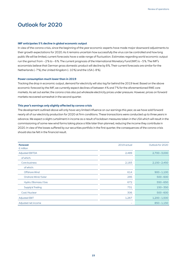# Outlook for 2020

#### **IMF anticipates 5 % decline in global economic output**

In view of the corona crisis, since the beginning of the year economic experts have made major downward adjustments to their growth expectations for 2020. As it remains uncertain how successfully the virus can be controlled and how long public life will be limited, current forecasts have a wide range of fluctuation. Estimates regarding world economic output run the gamut from – 2 % to – 6 %. The current prognosis of the International Monetary Fund (IMF) is – 5 %. The IMF's economists believe that German gross domestic product will decline by 8 %. Their current forecasts are similar for the Netherlands (– 7 %), the United Kingdom (– 10 %) and the USA (– 8 %).

#### **Power consumption much lower than in 2019**

Tracking the drop in economic output, demand for electricity will also lag far behind the 2019 level. Based on the above economic forecast by the IMF, we currently expect declines of between 4 % and 7 % for the aforementioned RWE core markets. As set out earlier, the corona crisis also put wholesale electricity prices under pressure. However, prices on forward markets recovered somewhat in the second quarter.

#### **This year's earnings only slightly affected by corona crisis**

The development outlined above will only have very limited influence on our earnings this year, as we have sold forward nearly all of our electricity production for 2020 at firm conditions. These transactions were conducted up to three years in advance. We expect a slight curtailment in income as a result of lockdown measures taken in the USA which will result in the commissioning of some new wind farms taking place a little later than planned, reducing the income they contribute in 2020. In view of the losses suffered by our securities portfolio in the first quarter, the consequences of the corona crisis should also be felt in the financial result.

| <b>Forecast</b><br>$\epsilon$ million | 2019 actual              | Outlook for 2020 |
|---------------------------------------|--------------------------|------------------|
| <b>Adjusted EBITDA</b>                | 2,489                    | $2,700 - 3,000$  |
| of which:                             |                          |                  |
| Core business                         | 2,183                    | $2,150 - 2,450$  |
| of which:                             |                          |                  |
| Offshore Wind                         | 614                      | $900 - 1,100$    |
| Onshore Wind / Solar                  | 295                      | $500 - 600$      |
| Hydro / Biomass / Gas                 | 672                      | $550 - 650$      |
| Supply & Trading                      | 731                      | $150 - 350$      |
| Coal/Nuclear                          | 306                      | $500 - 600$      |
| <b>Adjusted EBIT</b>                  | 1,267                    | $1,200 - 1,500$  |
| Adjusted net income                   | $\overline{\phantom{a}}$ | $850 - 1,150$    |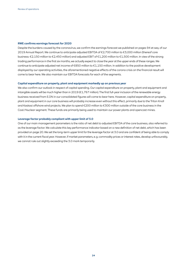#### **RWE confirms earnings forecast for 2020**

Despite the burdens caused by the coronavirus, we confirm the earnings forecast we published on pages 94 et seq. of our 2019 Annual Report. We continue to anticipate adjusted EBITDA of €2,700 million to €3,000 million (thereof core business: €2,150 million to €2,450 million) and adjusted EBIT of €1,200 million to €1,500 million. In view of the strong trading performance in the first six months, we actually expect to close the year at the upper ends of these ranges. We continue to anticipate adjusted net income of €850 million to €1,150 million. In addition to the positive development displayed by our operating activities, the aforementioned negative effects of the corona crisis on the financial result will come to bear here. We also maintain our EBITDA forecasts for each of the segments.

#### **Capital expenditure on property, plant and equipment markedly up on previous year**

We also confirm our outlook in respect of capital spending. Our capital expenditure on property, plant and equipment and intangible assets will be much higher than in 2019 (€1,767 million). The first full-year inclusion of the renewable energy business received from E.ON in our consolidated figures will come to bear here. However, capital expenditure on property, plant and equipment in our core business will probably increase even without this effect, primarily due to the Triton Knoll and Kaskasi offshore wind projects. We plan to spend €200 million to €300 million outside of the core business in the Coal / Nuclear segment. These funds are primarily being used to maintain our power plants and opencast mines.

#### **Leverage factor probably compliant with upper limit of 3.0**

One of our main management parameters is the ratio of net debt to adjusted EBITDA of the core business, also referred to as the leverage factor. We calculate this key performance indicator based on a new definition of net debt, which has been provided on page 20. We set the long-term upper limit for the leverage factor at 3.0 and are confident of being able to comply with it in the current fiscal year. However, if market parameters, e. g. commodity prices or interest rates, develop unfavourably, we cannot rule out slightly exceeding the 3.0 mark temporarily.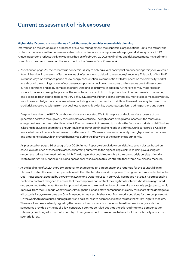# Current assessment of risk exposure

#### **Higher risks if corona crisis continues – Coal Phaseout Act enables more reliable planning**

Information on the structure and processes of our risk management, the responsible organisational units, the major risks and opportunities as well as our measures to control and monitor risks is presented on pages 84 et seqq. of our 2019 Annual Report and reflects the knowledge we had as of February 2020. New findings and risk assessments have primarily arisen from the corona crisis and the enactment of the German Coal Phaseout Act.

• As set out on page 23, the coronavirus pandemic is likely to only have a minor impact on our earnings this year. We could face higher risks in the event of further waves of infections and a delay in the economy's recovery. This could affect RWE in various ways. An extended period of low energy consumption in combination with low prices on the electricity market would curtail the earnings power of our generation portfolio. Lockdown measures and absences due to illness could curtail operations and delay completion of new wind and solar farms. In addition, further crises may materialise on financial markets, causing the prices of the securities in our portfolio to drop, the value of pension assets to decrease, and access to fresh capital to become very difficult. Moreover, if financial and commodity markets become more volatile, we will have to pledge more collateral when concluding forward contracts. In addition, there will probably be a rise in our credit risk exposure resulting from our business relationships with key accounts, suppliers, trading partners and banks.

Despite these risks, the RWE Group has a crisis-resistant setup. We limit the price and volume risk exposure of our generation portfolio through early forward sales of electricity. The high share of regulated income in the renewable energy business also has a stabilising effect. Even in the event of renewed turmoil on the financial markets and difficulties in issuing debt, we expect to have enough liquidity to cover our financing needs at all times. Our last resort is a €5 billion syndicated credit line, which we have not had to use so far. We ensure business continuity through preventive measures and emergency plans, which proved themselves during the first wave of the coronavirus pandemic.

As presented on pages 86 et seqq. of our 2019 Annual Report, we break down our risks into seven classes based on cause. We rate each of these risk classes, orientating ourselves to the highest single risk. In so doing, we distinguish among the ratings 'low', 'medium' and 'high'. The dangers that could materialise if the corona crisis persists primarily relate to market risks, financial risks and operational risks. Despite this, we still rate these three risk classes 'medium'.

• At the beginning of 2020, the German government reached an agreement on the roadmap for the country's lignite phaseout and on the level of compensation with the affected states and companies. The agreements are reflected in the Coal Phaseout Act adopted by the German Lower and Upper Houses in early July (see pages 7 et seq.). A corresponding public-law contract designed to ensure that the companies can protect their legitimate interests has been negotiated and submitted to the Lower House for approval. However, the entry into force of the entire package is subject to state aid approval from the European Commission. Although the pledged state compensation clearly falls short of the damage we will actually incur, we welcome the Coal Phaseout Act as it establishes clear framework conditions for the coal phaseout. On the whole, this has caused our regulatory and political risks to decrease. We have rerated them from 'high' to 'medium'. There is still some uncertainty regarding the review of the compensation under state aid law. In addition, despite the safeguards provided by the public-law contract, it cannot be ruled out that the exit roadmap and compensation rules may be changed to our detriment by a later government. However, we believe that the probability of such a scenario is low.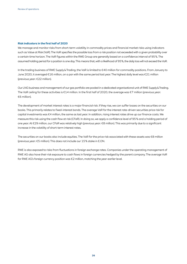#### **Risk indicators in the first half of 2020**

We manage and monitor risks from short-term volatility in commodity prices and financial market risks using indicators such as Value at Risk (VaR). The VaR specifies the possible loss from a risk position not exceeded with a given probability over a certain time horizon. The VaR figures within the RWE Group are generally based on a confidence interval of 95 %. The assumed holding period for a position is one day. This means that, with a likelihood of 95 %, the daily loss will not exceed the VaR.

In the trading business of RWE Supply & Trading, the VaR is limited to €40 million for commodity positions. From January to June 2020, it averaged €16 million, on a par with the same period last year. The highest daily level was €21 million (previous year: €22 million).

Our LNG business and management of our gas portfolio are pooled in a dedicated organisational unit of RWE Supply & Trading. The VaR ceiling for these activities is €14 million. In the first half of 2020, the average was €7 million (previous year: €6 million).

The development of market interest rates is a major financial risk. If they rise, we can suffer losses on the securities on our books. This primarily relates to fixed-interest bonds. The average VaR for the interest rate-driven securities price risk for capital investments was €4 million, the same as last year. In addition, rising interest rates drive up our finance costs. We measure this risk using the cash flow at risk (CFaR). In doing so, we apply a confidence level of 95 % and a holding period of one year. At €29 million, our CFaR was relatively high (previous year: €8 million). This was primarily due to a significant increase in the volatility of short-term interest rates.

The securities on our books also include equities. The VaR for the price risk associated with these assets was €8 million (previous year: €5 million). This does not include our 15 % stake in E.ON.

RWE is also exposed to risks from fluctuations in foreign exchange rates. Companies under the operating management of RWE AG also have their risk exposure to cash flows in foreign currencies hedged by the parent company. The average VaR for RWE AG's foreign currency position was €2 million, matching the year-earlier level.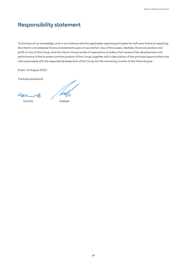# Responsibility statement

To the best of our knowledge, and in accordance with the applicable reporting principles for half-year financial reporting, the interim consolidated financial statements give a true and fair view of the assets, liabilities, financial position and profit or loss of the Group, and the interim Group review of operations includes a fair review of the development and performance of the business and the position of the Group, together with a description of the principal opportunities and risks associated with the expected development of the Group for the remaining months of the financial year.

Essen, 10 August 2020

The Executive Board

car

Schmitz Krebber

'Wu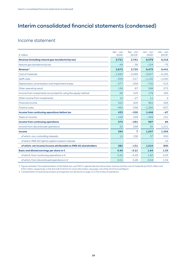# Interim consolidated financial statements (condensed)

### Income statement

| $\epsilon$ million                                              | Apr - Jun<br>2020 | Apr - Jun<br>2019 <sup>1</sup> | $Jan - Jun$<br>2020 | $Jan - Jun$<br>20191 |
|-----------------------------------------------------------------|-------------------|--------------------------------|---------------------|----------------------|
| Revenue (including natural gas tax/electricity tax)             | 2,721             | 2,761                          | 6.579               | 6.516                |
| Natural gas tax/electricity tax                                 | $-49$             | $-36$                          | $-104$              | $-75$                |
| Revenue <sup>2</sup>                                            | 2,672             | 2,725                          | 6,475               | 6,441                |
| Cost of materials                                               | $-1,583$          | $-2,499$                       | $-3,647$            | $-5,165$             |
| Staff costs                                                     | $-559$            | $-517$                         | $-1,130$            | $-1,040$             |
| Depreciation, amortisation and impairment losses                | $-377$            | $-259$                         | $-735$              | $-513$               |
| Other operating result                                          | 138               | 87                             | 598                 | 275                  |
| Income from investments accounted for using the equity method   | 69                | 103                            | 178                 | 165                  |
| Other income from investments                                   | 10                | $-27$                          | 11                  | 2                    |
| Financial income                                                | 523               | 205                            | 962                 | 405                  |
| Finance costs                                                   | $-460$            | $-338$                         | $-1,266$            | $-637$               |
| Income from continuing operations before tax                    | 433               | $-520$                         | 1,446               | $-67$                |
| Taxes on income                                                 | $-159$            | 229                            | $-449$              | 151                  |
| <b>Income from continuing operations</b>                        | 274               | $-291$                         | 997                 | 84                   |
| Income from discontinued operations                             | 20                | 298                            | 50                  | 1,311                |
| Income                                                          | 294               | $\overline{7}$                 | 1.047               | 1,395                |
| of which: non-controlling interests                             | 12                | 138                            | 37                  | 550                  |
| of which: RWE AG hybrid capital investors' interest             |                   |                                |                     | 15                   |
| of which: net income/income attributable to RWE AG shareholders | 282               | $-131$                         | 1,010               | 830                  |
| Basic and diluted earnings per share in $\epsilon$              | 0.46              | $-0.21$                        | 1.64                | 1.35                 |
| of which: from continuing operations in $\epsilon$              | 0.45              | $-0.49$                        | 1.60                | 0.03                 |
| of which: from discontinued operations in €                     | 0.01              | 0.28                           | 0.04                | 1.32                 |

1 Figures restated: The implementation of the failed own-use IFRS IC agenda decision drove down revenue and the cost of materials by €524 million and €354 million, respectively, in the first half of 2019; for more information, see page 116 of the 2019 Annual Report.

2 A presentation of revenue by product and segment can be found on page 12 in the review of operations.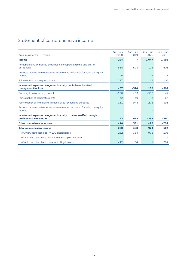# Statement of comprehensive income

| Amounts after tax - $\epsilon$ million                                                     | Apr - Jun<br>2020 | $Apr - Jun$<br>2019 | $Jan - Jun$<br>2020 | $Jan - Jun$<br>2019 |
|--------------------------------------------------------------------------------------------|-------------------|---------------------|---------------------|---------------------|
| Income                                                                                     | 294               | 7                   | 1.047               | 1.395               |
| Actuarial gains and losses of defined benefit pension plans and similar<br>obligations     | $-338$            | $-524$              | 103                 | $-606$              |
| Prorated income and expenses of investments accounted for using the equity<br>method       | $-26$             | $-1$                | $-26$               | $-1$                |
| Fair valuation of equity instruments                                                       | 277               | 1                   | 112                 | 105                 |
| Income and expenses recognised in equity, not to be reclassified<br>through profit or loss | $-87$             | $-524$              | 189                 | $-502$              |
| Currency translation adjustment                                                            | $-150$            | $-63$               | $-535$              | 42                  |
| Fair valuation of debt instruments                                                         | 32                | 30                  | $-3$                | 64                  |
| Fair valuation of financial instruments used for hedging purposes                          | 161               | 948                 | 278                 | $-396$              |
| Prorated income and expenses of investments accounted for using the equity<br>method       |                   |                     | $-2$                |                     |
| Income and expenses recognised in equity, to be reclassified through                       |                   |                     |                     |                     |
| profit or loss in the future                                                               | 43                | 915                 | $-262$              | $-290$              |
| <b>Other comprehensive income</b>                                                          | $-44$             | 391                 | $-73$               | $-792$              |
| <b>Total comprehensive income</b>                                                          | 250               | 398                 | 974                 | 603                 |
| of which: attributable to RWE AG shareholders                                              | 262               | 364                 | 973                 | 206                 |
| of which: attributable to RWE AG hybrid capital investors                                  |                   |                     |                     | 15                  |
| of which: attributable to non-controlling interests                                        | $-12$             | 34                  | $\mathbf{1}$        | 382                 |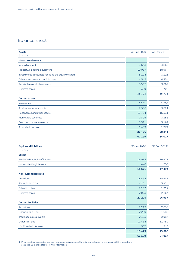## Balance sheet

| <b>Assets</b><br>$\epsilon$ million                 | 30 Jun 2020 | 31 Dec 2019 <sup>1</sup> |
|-----------------------------------------------------|-------------|--------------------------|
| <b>Non-current assets</b>                           |             |                          |
| Intangible assets                                   | 4,633       | 4,862                    |
| Property, plant and equipment                       | 19,087      | 18,964                   |
| Investments accounted for using the equity method   | 3,104       | 3,221                    |
| Other non-current financial assets                  | 4,545       | 4,354                    |
| Receivables and other assets                        | 3,965       | 3,669                    |
| Deferred taxes                                      | 389         | 706                      |
|                                                     | 35,723      | 35,776                   |
| <b>Current assets</b>                               |             |                          |
| Inventories                                         | 1,161       | 1,585                    |
| Trade accounts receivable                           | 2,366       | 3,621                    |
| Receivables and other assets                        | 15,794      | 15,311                   |
| Marketable securities                               | 2,305       | 3,258                    |
| Cash and cash equivalents                           | 3,381       | 3,192                    |
| Assets held for sale                                | 1,469       | 1,274                    |
|                                                     | 26,476      | 28,241                   |
|                                                     | 62,199      | 64,017                   |
|                                                     |             |                          |
| <b>Equity and liabilities</b><br>$\epsilon$ million | 30 Jun 2020 | 31 Dec 2019 <sup>1</sup> |
| <b>Equity</b>                                       |             |                          |
| RWE AG shareholders' interest                       | 16,073      | 16,971                   |
| Non-controlling interests                           | 448         | 503                      |
|                                                     | 16,521      | 17,474                   |
| <b>Non-current liabilities</b>                      |             |                          |
| Provisions                                          | 18,898      | 18,937                   |
| <b>Financial liabilities</b>                        | 4,151       | 3,924                    |
| Other liabilities                                   | 2,133       | 1,912                    |
| Deferred taxes                                      | 2,023       | 2,164                    |
|                                                     | 27,205      | 26,937                   |
| <b>Current liabilities</b>                          |             |                          |
| Provisions                                          | 2,219       | 2,638                    |
| <b>Financial liabilities</b>                        | 2,200       | 1,689                    |
| Trade accounts payable                              | 2,103       | 2,987                    |
| Other liabilities                                   | 11,414      | 11,782                   |
| Liabilities held for sale                           | 537         | 510                      |
|                                                     | 18,473      | 19,606                   |
|                                                     |             |                          |

1 Prior-year figures restated due to a retroactive adjustment to the initial consolidation of the acquired E.ON operations; see page 35 in the Notes for further information.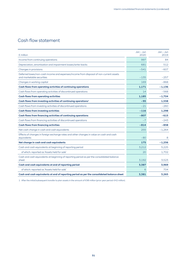# Cash flow statement

| $\epsilon$ million                                                                                                  | Jan – Jun<br>2020 | $Jan - Jun$<br>2019 |
|---------------------------------------------------------------------------------------------------------------------|-------------------|---------------------|
| Income from continuing operations                                                                                   | 997               | 84                  |
| Depreciation, amortisation and impairment losses/write-backs                                                        | 681               | 512                 |
| Changes in provisions                                                                                               | $-541$            | $-607$              |
| Deferred taxes/non-cash income and expenses/income from disposal of non-current assets<br>and marketable securities | $-135$            | $-257$              |
| Changes in working capital                                                                                          | 169               | $-868$              |
| Cash flows from operating activities of continuing operations                                                       | 1,171             | $-1,136$            |
| Cash flows from operating activities of discontinued operations                                                     | 14                | $-568$              |
| <b>Cash flows from operating activities</b>                                                                         | 1,185             | $-1,704$            |
| Cash flows from investing activities of continuing operations <sup>1</sup>                                          | $-95$             | 1,558               |
| Cash flows from investing activities of discontinued operations                                                     | $-21$             | $-260$              |
| <b>Cash flows from investing activities</b>                                                                         | $-116$            | 1,298               |
| Cash flows from financing activities of continuing operations                                                       | $-807$            | $-615$              |
| Cash flows from financing activities of discontinued operations                                                     | $-7$              | $-243$              |
| <b>Cash flows from financing activities</b>                                                                         | $-814$            | $-858$              |
| Net cash change in cash and cash equivalents                                                                        | 255               | $-1,264$            |
| Effects of changes in foreign exchange rates and other changes in value on cash and cash<br>equivalents             | $-80$             | 8                   |
| Net change in cash and cash equivalents                                                                             | 175               | $-1,256$            |
| Cash and cash equivalents at beginning of reporting period                                                          | 3,212             | 5,225               |
| of which: reported as 'Assets held for sale'                                                                        | 20                | 1.702               |
| Cash and cash equivalents at beginning of reporting period as per the consolidated balance<br>sheet                 | 3,192             | 3,523               |
| Cash and cash equivalents at end of reporting period                                                                | 3,387             | 3,969               |
| of which: reported as 'Assets held for sale'                                                                        | 6                 | 704                 |
| Cash and cash equivalents at end of reporting period as per the consolidated balance sheet                          | 3,381             | 3,265               |

1 After the initial/subsequent transfer to plan assets in the amount of €98 million (prior-year period: €42 million).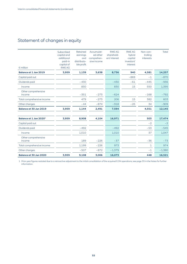# Statement of changes in equity

| $\epsilon$ million                 | Subscribed<br>capital and<br>additional<br>paid-in<br>capital of<br><b>RWE AG</b> | Retained<br>earnings<br>and<br>distributa-<br>ble profit | Accumulat-<br>ed other<br>comprehen-<br>sive income | <b>RWE AG</b><br>sharehold-<br>ers' interest | <b>RWE AG</b><br>hybrid<br>capital<br>investors'<br>interest | Non-con-<br>trolling<br>interests | <b>Total</b> |
|------------------------------------|-----------------------------------------------------------------------------------|----------------------------------------------------------|-----------------------------------------------------|----------------------------------------------|--------------------------------------------------------------|-----------------------------------|--------------|
| <b>Balance at 1 Jan 2019</b>       | 3,959                                                                             | 1,139                                                    | 3,638                                               | 8,736                                        | 940                                                          | 4,581                             | 14,257       |
| Capital paid out                   |                                                                                   |                                                          |                                                     |                                              | $-869$                                                       | $-1$                              | $-870$       |
| Dividends paid                     |                                                                                   | $-430$                                                   |                                                     | $-430$                                       | $-61$                                                        | $-445$                            | $-936$       |
| Income                             |                                                                                   | 830                                                      |                                                     | 830                                          | 15                                                           | 550                               | 1,395        |
| Other comprehensive<br>income      |                                                                                   | $-351$                                                   | $-273$                                              | $-624$                                       |                                                              | $-168$                            | $-792$       |
| Total comprehensive income         |                                                                                   | 479                                                      | $-273$                                              | 206                                          | 15                                                           | 382                               | 603          |
| Other changes                      |                                                                                   | $-44$                                                    | $-874$                                              | $-918$                                       | $-25$                                                        | 34                                | $-909$       |
| <b>Balance at 30 Jun 2019</b>      | 3,959                                                                             | 1,144                                                    | 2,491                                               | 7,594                                        |                                                              | 4,551                             | 12,145       |
| Balance at 1 Jan 2020 <sup>1</sup> | 3,959                                                                             | 8.908                                                    | 4.104                                               | 16.971                                       |                                                              | 503                               | 17,474       |
| Capital paid out                   |                                                                                   |                                                          |                                                     |                                              |                                                              | $-2$                              | $-2$         |
| Dividends paid                     |                                                                                   | $-492$                                                   |                                                     | $-492$                                       |                                                              | $-53$                             | $-545$       |
| Income                             |                                                                                   | 1,010                                                    |                                                     | 1,010                                        |                                                              | 37                                | 1,047        |
| Other comprehensive<br>income      |                                                                                   | 189                                                      | $-226$                                              | $-37$                                        |                                                              | $-36$                             | $-73$        |
| Total comprehensive income         |                                                                                   | 1,199                                                    | $-226$                                              | 973                                          |                                                              | $\mathbf{1}$                      | 974          |
| Other changes                      |                                                                                   | $-507$                                                   | $-872$                                              | $-1,379$                                     |                                                              | $-1$                              | $-1,380$     |
| <b>Balance at 30 Jun 2020</b>      | 3,959                                                                             | 9,108                                                    | 3,006                                               | 16,073                                       |                                                              | 448                               | 16,521       |

1 Prior-year figures restated due to a retroactive adjustment to the initial consolidation of the acquired E.ON operations; see page 35 in the Notes for further information.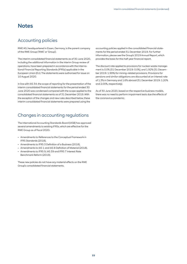# **Notes**

### Accounting policies

RWE AG, headquartered in Essen, Germany, is the parent company of the RWE Group ('RWE' or 'Group').

The interim consolidated financial statements as of 30 June 2020, including the additional information in the interim Group review of operations, have been prepared in accordance with the International Financial Reporting Standards (IFRSs) applicable in the European Union (EU). The statements were authorised for issue on 10 August 2020.

In line with IAS 34, the scope of reporting for the presentation of the interim consolidated financial statements for the period ended 30 June 2020 was condensed compared with the scope applied to the consolidated financial statements as of 31 December 2019. With the exception of the changes and new rules described below, these interim consolidated financial statements were prepared using the

### Changes in accounting regulations

The International Accounting Standards Board (IASB) has approved several amendments to existing IFRSs, which are effective for the RWE Group as of fiscal 2020:

- Amendments to References to the Conceptual Framework in IFRS Standards (2018),
- Amendments to IFRS 3 Definition of a Business (2018),
- Amendments to IAS 1 and IAS 8 Definition of Material (2018),
- Amendments to IFRS 9, IAS 39 and IFRS 7 Interest Rate Benchmark Reform (2019).

These new policies do not have any material effects on the RWE Group's consolidated financial statements.

accounting policies applied in the consolidated financial statements for the period ended 31 December 2019. For further information, please see the Group's 2019 Annual Report, which provides the basis for this half-year financial report.

The discount rate applied to provisions for nuclear waste management is 0.0% (31 December 2019: 0.0%), and 1.92% (31 December 2019: 1.99%) for mining-related provisions. Provisions for pensions and similar obligations are discounted at an interest rate of 1.3% in Germany and 1.6% abroad (31 December 2019: 1.20% and 2.00%, respectively).

As of 30 June 2020, based on the respective business models, there was no need to perform impairment tests due the effects of the coronavirus pandemic.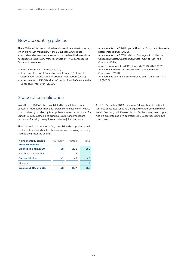### New accounting policies

The IASB issued further standards and amendments to standards, which are not yet mandatory in the EU in fiscal 2020. These standards and amendments to standards are listed below and are not expected to have any material effects on RWE's consolidated financial statements:

- IFRS 17 Insurance Contracts (2017),
- Amendments to IAS 1 Presentation of Financial Statements: Classification of Liabilities as Current or Non-current (2020),
- Amendments to IFRS 3 Business Combinations: Reference to the Conceptual Framework (2020),

### Scope of consolidation

In addition to RWE AG, the consolidated financial statements contain all material German and foreign companies which RWE AG controls directly or indirectly. Principal associates are accounted for using the equity method, and principal joint arrangements are accounted for using the equity method or as joint operations.

The changes in the number of fully consolidated companies as well as of investments and joint ventures accounted for using the equity method are presented below:

| <b>Number of fully consoli-</b><br>dated companies | Germany | Abroad | Total |
|----------------------------------------------------|---------|--------|-------|
| <b>Balance at 1 Jan 2020</b>                       | 58      | 201    | 259   |
| First-time consolidation                           | 2       |        | 10    |
| Deconsolidation                                    | $-1$    | $-2$   | -3    |
| <b>Mergers</b>                                     | -1      |        | - 1   |
| <b>Balance at 30 Jun 2020</b>                      | 58      | 207    | 265   |

- Amendments to IAS 16 Property, Plant and Equipment: Proceeds before Intended Use (2020),
- Amendments to IAS 37 Provisions, Contingent Liabilities and Contingent Assets: Onerous Contracts - Cost of Fulfilling a Contract (2020),
- Annual Improvements to IFRS Standards 2018-2020 (2020),
- Amendment to IFRS 16 Leases: Covid 19-Related Rent Concessions (2020),
- Amendments to IFRS 4 Insurance Contracts Deferral of IFRS 19 (2020).

As at 31 December 2019, there were 31 investments and joint ventures accounted for using the equity method, of which eleven were in Germany and 20 were abroad. Furthermore, two companies are presented as joint operations (31 December 2019: two companies).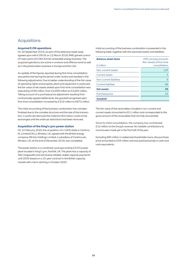### Acquisitions

#### **Acquired E.ON operations**

On 18 September 2019, as part of the extensive asset swap agreed upon with E.ON SE on 12 March 2018, RWE gained control of major parts of E.ON's former renewable energy business. The acquired operations are active in onshore and offshore wind as well as in the photovoltaic business in Europe and the USA.

An update of the figures reported during first-time consolidation was performed during the period under review and resulted in the following adjustments: Due to better understanding of the fair value of operating rights and property, plant and equipment in particular, the fair value of net assets stated upon first-time consolidation was reduced by €339 million, from €2,939 million to €2,600 million. Taking account of a purchase price adjustment resulting from contractually agreed settlements, the goodwill recognised upon first-time consolidation increased by €219 million to €872 million.

The initial accounting of the business combination has not been finalised due to the complex structure and the size of the transaction, in particular because the material information could not be exchanged until the antitrust restrictions had been removed.

#### **Acquisition of the King's Lynn power station**

On 12 February 2020, the acquisition of a 100% stake in Centrica KL Limited (CKLL), Windsor, UK, agreed with the British energy company GB Gas Holdings Limited, a subsidiary of Centrica plc, Windsor, UK, at the end of December 2019, was completed.

The power station is a combined-cycle gas turbine (CCGT) power plant located in King's Lynn, Norfolk, UK. The plant has a capacity of 382 megawatts and will receive reliable, stable capacity payments until 2035 based on a 15-year contract in the British capacity market with a term starting in October 2020.

Initial accounting of the business combination is presented in the following table, together with the assumed assets and liabilities:

| <b>Balance-sheet items</b><br>$\epsilon$ million | <b>IFRS carrying amounts</b><br>(fair values) at first-time<br>consolidation |
|--------------------------------------------------|------------------------------------------------------------------------------|
| Non-current assets                               | 125                                                                          |
| Current assets                                   | 5                                                                            |
| Non-current liabilities                          | 9                                                                            |
| Current liabilities                              | 88                                                                           |
| <b>Net assets</b>                                | 33                                                                           |
| Purchase price                                   | 33                                                                           |
| <b>Goodwill</b>                                  |                                                                              |

The fair value of the receivables included in non-current and current assets amounted to €0.1 million and corresponded to the gross amount of the receivables that are fully recoverable.

Since its initial consolidation, the company has contributed €12 million to the Group's revenue. No notable contributions to income were made yet in the first half of the year.

Excluding €80 million in redeemed shareholder loans, the purchase price amounted to €33 million and was paid exclusively in cash and cash equivalents.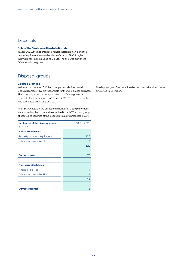### **Disposals**

#### **Sale of the Seabreeze II installation ship**

In April 2020, the Seabreeze II offshore installation ship and the related equipment was sold and transferred to SPIC Ronghe International Financial Leasing Co. Ltd. The ship was part of the Offshore Wind segment.

# Disposal groups

#### **Georgia Biomass**

In the second quarter of 2020, management decided to sell Georgia Biomass, which is responsible for the US biomass business. This company is part of the Hydro/Biomass/Gas segment. A contract of sale was signed on 18 June 2020. The sale transaction was completed on 31 July 2020.

As of 30 June 2020, the assets and liabilities of Georgia Biomass were stated on the balance sheet as 'held for sale'. The main groups of assets and liabilities of the disposal group are presented below:

| Key figures of the disposal group | 30 Jun 2020    |
|-----------------------------------|----------------|
| $\epsilon$ million                |                |
| <b>Non-current assets</b>         |                |
| Property, plant and equipment     | 116            |
| Other non-current assets          | 4              |
|                                   | 120            |
|                                   |                |
| <b>Current assets</b>             | 75             |
|                                   |                |
| <b>Non-current liabilities</b>    |                |
| <b>Financial liabilities</b>      | $\overline{7}$ |
| Other non-current liabilities     |                |
|                                   | 14             |
|                                   |                |
| <b>Current liabilities</b>        | 6              |

The disposal group's accumulated other comprehensive income amounted to €3 million.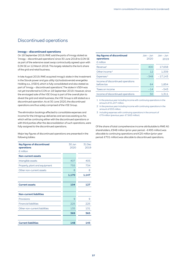### Discontinued operations

#### **innogy – discontinued operations**

On 18 September 2019, RWE sold the parts of innogy stated as 'innogy – discontinued operations' since 30 June 2018 to E.ON SE as part of the extensive asset swap contractually agreed upon with E.ON SE on 12 March 2018. This largely related to the lion's share of the grid and retail business.

In late August 2019, RWE acquired innogy's stake in the investment in the Slovak power and gas utility Východoslovenská energetika Holding a.s., (VSEH), which is fully consolidated and also stated as part of 'innogy – discontinued operations'. The stake in VSEH was not yet transferred to E.ON on 18 September 2019. However, since the envisaged sale of the VSE Group is part of the overall plan to divest the grid and retail business, the VSE Group is still stated as a discontinued operation. As at 30 June 2020, the discontinued operations are thus solely comprised of the VSE Group.

The elimination bookings effected to consolidate expenses and income for the intragroup deliveries and services existing so far, which will be continuing either with the discontinued operations or with third parties after the deconsolidation of such operations, were fully assigned to the discontinued operations.

Major key figures of discontinued operations are presented in the following tables:

| <b>Key figures of discontinued</b><br>operations | 30 Jun<br>2020 | 31 Dec<br>2019 |
|--------------------------------------------------|----------------|----------------|
| $\epsilon$ million                               |                |                |
| <b>Non-current assets</b>                        |                |                |
| Intangible assets                                | 407            | 405            |
| Property, plant and equipment                    | 755            | 734            |
| Other non-current assets                         | 8              | 8              |
|                                                  | 1,170          | 1,147          |
|                                                  |                |                |
| <b>Current assets</b>                            | 104            | 127            |
|                                                  |                |                |
| <b>Non-current liabilities</b>                   |                |                |
| Provisions                                       | 9              | 9              |
| <b>Financial liabilities</b>                     | 225            | 225            |
| Other non-current liabilities                    | 135            | 131            |
|                                                  | 369            | 365            |
|                                                  |                |                |
| <b>Current liabilities</b>                       | 148            | 145            |

| <b>Key figures of discontinued</b><br>operations<br>$\epsilon$ million | $Jan - Jun$<br>2020 | $Jan - Jun$<br>2019 |
|------------------------------------------------------------------------|---------------------|---------------------|
| Revenue <sup>1</sup>                                                   | 400                 | 17.658              |
| Other income <sup>2</sup>                                              | 12                  | 1.339               |
| Expenses <sup>3</sup>                                                  | $-348$              | $-17.143$           |
| Income of discontinued operations<br>before tax                        | 64                  | 1.854               |
| Taxes on income                                                        | $-14$               | $-543$              |
| Income of discontinued operations                                      | 50                  | 1.311               |

1 In the previous year including income with continuing operations in the amount of €1,247 million.

2 In the previous year including income with continuing operations in the amount of €93 million.

3 Including expenses with continuing operations in the amount of €79 million (previous year: €7,663 million).

Of the share of total comprehensive income attributable to RWE AG shareholders, €948 million (prior-year period: –€495 million) was allocable to continuing operations and €25 million (prior-year period: €701 million) was allocable to discontinued operations.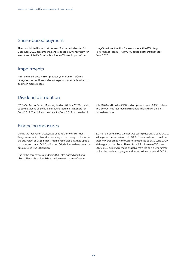### Share-based payment

The consolidated financial statements for the period ended 31 December 2019 presented the share-based payment system for executives of RWE AG and subordinate affiliates. As part of the

### Impairments

An impairment of €9 million (previous year: €25 million) was recognised for coal inventories in the period under review due to a decline in market prices.

Long-Term Incentive Plan for executives entitled 'Strategic Performance Plan' (SPP), RWE AG issued another tranche for fiscal 2020.

### Dividend distribution

RWE AG's Annual General Meeting, held on 26 June 2020, decided to pay a dividend of €0.80 per dividend-bearing RWE share for fiscal 2019. The dividend payment for fiscal 2019 occurred on 1

July 2020 and totalled €492 million (previous year: €430 million). This amount was recorded as a financial liability as of the balance-sheet date.

### Financing measures

During the first half of 2020, RWE used its Commercial Paper Programme, which allows for financing on the money market up to the equivalent of US\$5 billion. This financing was activated up to a maximum amount of €1.2 billion. As of the balance-sheet date, the amount used was €0.2 billion.

Due to the coronavirus pandemic, RWE also agreed additional bilateral lines of credit with banks with a total volume of around €1.7 billion, of which €1.2 billion was still in place on 30 June 2020. In the period under review, up to €0.2 billion was drawn down from these new credit lines, which were no longer used as of 30 June 2020. With regard to the bilateral lines of credit in place as of 30 June 2020, €0.9 billion were made available from the banks until further notice; the rest has varying maturities of no later than April 2021.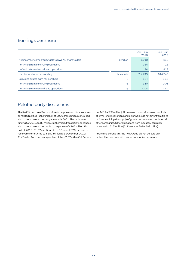## Earnings per share

|                                                       |                    | $Jan - Jun$<br>2020 | $Jan - Jun$<br>2019 |
|-------------------------------------------------------|--------------------|---------------------|---------------------|
| Net income/income attributable to RWE AG shareholders | $\epsilon$ million | 1.010               | 830                 |
| of which: from continuing operations                  |                    | 986                 | 18                  |
| of which: from discontinued operations                |                    | 24                  | 812                 |
| Number of shares outstanding                          | thousands          | 614.745             | 614.745             |
| Basic and diluted earnings per share                  | €                  | 1.64                | 1.35                |
| of which: from continuing operations                  | €                  | 1.60                | 0.03                |
| of which: from discontinued operations                | €                  | 0.04                | 1.32                |

### Related party disclosures

The RWE Group classifies associated companies and joint ventures as related parties. In the first half of 2020, transactions concluded with material related parties generated €300 million in income (first half of 2019: €288 million). Furthermore, transactions concluded with material related parties led to expenses of €103 million (first half of 2019: €1,574 million). As of 30 June 2020, accounts receivable amounted to €182 million (31 December 2019: €147 million) and accounts payable totalled €157 million (31 December 2019: €130 million). All business transactions were concluded at arm's length conditions and on principle do not differ from transactions involving the supply of goods and services concluded with other companies. Other obligations from executory contracts amounted to €130 million (31 December 2019: €99 million).

Above and beyond this, the RWE Group did not execute any material transactions with related companies or persons.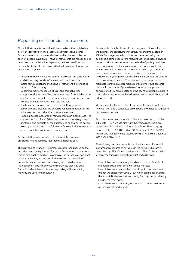### Reporting on financial instruments

Financial instruments are divided into non-derivative and derivative. Non-derivative financial assets essentially include other financial assets, accounts receivable, marketable securities and cash and cash equivalents. Financial instruments are recognised at amortised cost or fair value, depending on their classification. Financial instruments are assigned to the following categories for accounting purposes:

- Debt instruments measured at amortised cost: The contractual cash flows solely consist of interest and principle on the outstanding capital and the financial instrument is intended to be held to final maturity.
- Debt instruments measured at fair value through other comprehensive income: The contractual cash flows solely consist of interest and principle on the outstanding capital and the financial instrument is intended to be held and sold.
- Equity instruments measured at fair value through other comprehensive income: The option to recognise changes in fair value in other comprehensive income is exercised.
- Financial assets measured at fair value through profit or loss: The contractual cash flows of debt instruments do not solely consist of interest and principle on the outstanding capital or the option to recognise changes in the fair value of the equity instruments in other comprehensive income is not exercised.

On the liabilities side, non-derivative financial instruments principally include liabilities recorded at amortised cost.

The fair value of financial instruments is established based on the published exchange price, insofar as the financial instruments are traded on an active market. On principle, the fair value of non-quoted debt and equity instruments is determined on the basis of discounted expected cash flows, taking into consideration macroeconomic developments and corporate planning data. Current market interest rates corresponding to the remaining maturity are used for discounting.

Derivative financial instruments are recognised at fair value as of the balance-sheet date, insofar as they fall under the scope of IFRS 9. Exchange-traded products are measured using the published closing prices of the relevant exchange. Non-exchange traded products are measured on the basis of publicly available broker quotations or, if such quotations are not available, on generally accepted valuation methods. In doing so, we draw on prices on active markets as much as possible. If such are not available either, company-specific planning estimates are used in the measurement process. These estimates encompass all of the market factors which other market participants would take into account in the course of price determination. Assumptions pertaining to the energy sector and the economy are the result of a comprehensive process with the involvement of both in-house and external experts.

Measurement of the fair value of a group of financial assets and financial liabilities is conducted on the basis of the net risk exposure per business partner.

As a rule, the carrying amounts of financial assets and liabilities subject to IFRS 7 are identical with their fair values. There are deviations only in relation to financial liabilities. Their carrying amounts totalled €5,189 million (31 December 2019: €4,511 million) and their fair values totalled €5,550 million (31 December 2019: €4,798 million).

The following overview presents the classifications of financial instruments measured at fair value in the fair value hierarchy prescribed by IFRS 13. In accordance with IFRS 13, the individual levels of the fair value hierarchy are defined as follows:

- Level 1: Measurement using (unadjusted) prices of identical financial instruments formed on active markets
- Level 2: Measurement on the basis of input parameters which are not the prices from Level 1, but which can be observed for the financial instrument either directly (i.e. as price) or indirectly (i.e. derived from prices)
- Level 3: Measurement using factors which cannot be observed on the basis of market data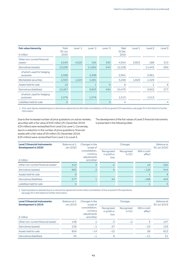| <b>Fair value hierarchy</b><br>$\epsilon$ million          | <b>Total</b><br>30 Jun<br>2020 | Level 1 | Level 2 | Level 3 | <b>Total</b><br>31 Dec<br>2019 | Level 1 | Level <sub>2</sub> | Level 3        |
|------------------------------------------------------------|--------------------------------|---------|---------|---------|--------------------------------|---------|--------------------|----------------|
| Other non-current financial<br>$\alpha$ ssets <sup>1</sup> | 4,545                          | 4,020   | 195     | 330     | 4,354                          | 3,853   | 188                | 313            |
| Derivatives (assets)                                       | 12,206                         |         | 11,662  | 544     | 12,108                         |         | 11,443             | 665            |
| of which: used for hedging<br>purposes                     | 2,398                          |         | 2,398   |         | 2,961                          |         | 2,961              |                |
| Marketable securities                                      | 2,305                          | 1,224   | 1,081   |         | 3,258                          | 1,829   | 1,429              |                |
| Assets held for sale                                       | 10                             |         | 1       | 9       | 9                              |         |                    | 8              |
| Derivatives (liabilities)                                  | 10,267                         |         | 9,833   | 434     | 10,479                         |         | 9,902              | 577            |
| of which: used for hedging<br>purposes                     | 1,076                          |         | 1,076   |         | 1,513                          |         | 1,513              |                |
| Liabilities held for sale                                  | 5                              |         |         | 5       | 4                              |         |                    | $\overline{4}$ |

 1 Prior-year figures restated due to a retroactive adjustment to the initial consolidation of the acquired E.ON operations; see page 35 in the Notes for further information.

Due to the increased number of price quotations on active markets, securities with a fair value of €55 million (31 December 2019: €24 million) were reclassified from Level 2 to Level 1. Conversely, due to a reduction in the number of price quotations, financial assets with a fair value of €9 million (31 December 2019: €25 million) were reclassified from Level 1 to Level 2.

The development of the fair values of Level 3 financial instruments is presented in the following table:

| <b>Level 3 financial instruments:</b><br><b>Development in 2020</b> | Balance at 1<br>Jan 2020 | Changes in the<br>scope of                             |                                    | Changes              |                       | <b>Balance</b> at<br>30 Jun 2020 |
|---------------------------------------------------------------------|--------------------------|--------------------------------------------------------|------------------------------------|----------------------|-----------------------|----------------------------------|
| $\epsilon$ million                                                  |                          | consolidation.<br>currency<br>adjustments<br>and other | Recognised<br>in profit or<br>loss | Recognised<br>in OCI | With a cash<br>effect |                                  |
| Other non-current financial assets <sup>1</sup>                     | 313                      | 3                                                      | $-5$                               |                      | 19                    | 330                              |
| Derivatives (assets)                                                | 665                      | $\overline{2}$                                         | 6                                  |                      | $-129$                | 544                              |
| Assets held for sale                                                | 8                        |                                                        |                                    |                      |                       | 9                                |
| Derivatives (liabilities)                                           | 577                      |                                                        | 44                                 |                      | $-188$                | 434                              |
| Liabilities held for sale                                           | $\overline{a}$           |                                                        |                                    |                      |                       | 5                                |

1 Opening balance restated due to a retroactive adjustment to the initial consolidation of the acquired E.ON operations: see page 35 in the Notes for further information.

| <b>Level 3 financial instruments:</b><br><b>Development in 2019</b> | Balance at 1<br>Jan 2019 | Changes in the<br>scope of                             |                                    | Changes              |                       | Balance at<br>30 Jun 2019 |
|---------------------------------------------------------------------|--------------------------|--------------------------------------------------------|------------------------------------|----------------------|-----------------------|---------------------------|
| $\epsilon$ million                                                  |                          | consolidation,<br>currency<br>adjustments<br>and other | Recognised<br>in profit or<br>loss | Recognised<br>in OCI | With a cash<br>effect |                           |
| Other non-current financial assets                                  | 148                      |                                                        | $-3$                               | $-2$                 | 3                     | 147                       |
| Derivatives (assets)                                                | 156                      | $-1$                                                   | 27                                 |                      | $-23$                 | 159                       |
| Assets held for sale                                                | 804                      | $-14$                                                  | $-15$                              |                      | 38                    | 813                       |
| Derivatives (liabilities)                                           | 35                       | $-1$                                                   | 8                                  |                      | $-11$                 | 31                        |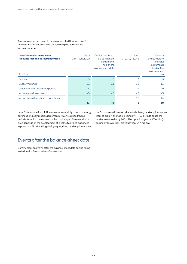Amounts recognised in profit or loss generated through Level 3 financial instruments relate to the following line items on the income statement:

| <b>Level 3 financial instruments:</b><br>Amounts recognised in profit or loss<br>$\epsilon$ million | Total<br>Jan - Jun 2020 | Of which: attributa-<br>ble to financial<br><i>instruments</i><br>held at the<br>balance-sheet date | Total<br>Jan - Jun 2019 | Of which:<br>attributable to<br>financial<br>instruments<br>held at the<br>balance-sheet<br>date |
|-----------------------------------------------------------------------------------------------------|-------------------------|-----------------------------------------------------------------------------------------------------|-------------------------|--------------------------------------------------------------------------------------------------|
| Revenue                                                                                             | $-3$                    | $-3$                                                                                                | 3                       | 3                                                                                                |
| Cost of materials                                                                                   | $-31$                   | $-31$                                                                                               | $-13$                   | $-13$                                                                                            |
| Other operating income/expenses                                                                     | $-4$                    | $-4$                                                                                                | 29                      | 29                                                                                               |
| Income from investments                                                                             | $-5$                    | $-5$                                                                                                | $-3$                    | $-3$                                                                                             |
| Income from discontinued operations                                                                 |                         |                                                                                                     | $-15$                   | 14                                                                                               |
|                                                                                                     | $-43$                   | $-43$                                                                                               |                         | 30                                                                                               |

Level 3 derivative financial instruments essentially consist of energy purchase and commodity agreements, which relate to trading periods for which there are no active markets yet. The valuation of such depends on the development of electricity, oil and gas prices in particular. All other things being equal, rising market prices cause

the fair values to increase, whereas declining market prices cause them to drop. A change in pricing by +/− 10% would cause the market value to rise by €63 million (previous year: €47 million) or decline by €63 million (previous year: €47 million).

### Events after the balance-sheet date

Commentary on events after the balance-sheet date can be found in the interim Group review of operations.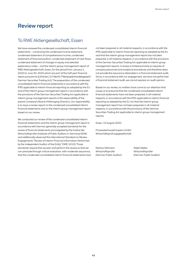# Review report

### To RWE Aktiengesellschaft, Essen

We have reviewed the condensed consolidated interim financial statements – comprising the condensed income statement, condensed statement of comprehensive income, condensed statement of financial position, condensed statement of cash flows, condensed statement of changes in equity and selected explanatory notes – and the interim group management report of RWE Aktiengesellschaft, Essen, for the period from January 1, 2020 to June 30, 2020 which are part of the half-year financial report pursuant to § (Article) 115 WpHG ("Wertpapierhandelsgesetz": German Securities Trading Act). The preparation of the condensed consolidated interim financial statements in accordance with the IFRS applicable to interim financial reporting as adopted by the EU and of the interim group management report in accordance with the provisions of the German Securities Trading Act applicable to interim group management reports is the responsibility of the parent Company's Board of Managing Directors. Our responsibility is to issue a review report on the condensed consolidated interim financial statements and on the interim group management report based on our review.

We conducted our review of the condensed consolidated interim financial statements and the interim group management report in accordance with German generally accepted standards for the review of financial statements promulgated by the Institut der Wirtschaftsprüfer (Institute of Public Auditors in Germany)(IDW) and additionally observed the International Standard on Review Engagements "Review of Interim Financial Information Performed by the Independent Auditor of the Entity" (ISRE 2410). Those standards require that we plan and perform the review so that we can preclude through critical evaluation, with moderate assurance, that the condensed consolidated interim financial statements have not been prepared, in all material respects, in accordance with the IFRS applicable to interim financial reporting as adopted by the EU and that the interim group management report has not been prepared, in all material respects, in accordance with the provisions of the German Securities Trading Act applicable to interim group management reports. A review is limited primarily to inquiries of company personnel and analytical procedures and therefore does not provide the assurance attainable in a financial statement audit. Since, in accordance with our engagement, we have not performed a financial statement audit, we cannot express an audit opinion.

Based on our review, no matters have come to our attention that cause us to presume that the condensed consolidated interim financial statements have not been prepared, in all material respects, in accordance with the IFRS applicable to interim financial reporting as adopted by the EU nor that the interim group management report has not been prepared, in all material respects, in accordance with the provisions of the German Securities Trading Act applicable to interim group management reports.

Essen, 10 August 2020

PricewaterhouseCoopers GmbH Wirtschaftsprüfungsgesellschaft

Markus Dittmann Ralph Welter Wirtschaftsprüfer Wirtschaftsprüfer

(German Public Auditor) (German Public Auditor)